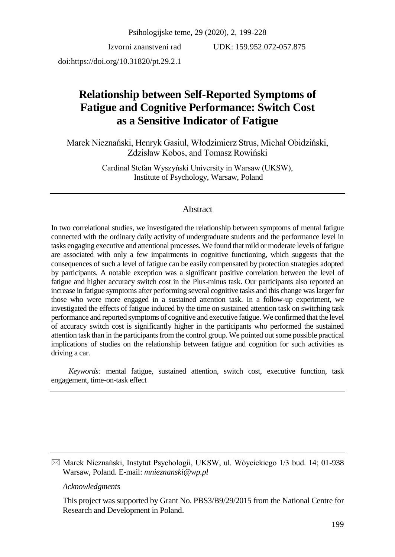Psihologijske teme, 29 (2020), 2, 199-228

Izvorni znanstveni rad doi:https://doi.org/10.31820/pt.29.2.1

UDK: 159.952.072-057.875

# **Relationship between Self-Reported Symptoms of Fatigue and Cognitive Performance: Switch Cost as a Sensitive Indicator of Fatigue**

Marek Nieznański, Henryk Gasiul, Włodzimierz Strus, Michał Obidziński, Zdzisław Kobos, and Tomasz Rowiński

> Cardinal Stefan Wyszyński University in Warsaw (UKSW), Institute of Psychology, Warsaw, Poland

### Abstract

In two correlational studies, we investigated the relationship between symptoms of mental fatigue connected with the ordinary daily activity of undergraduate students and the performance level in tasks engaging executive and attentional processes. We found that mild or moderate levels of fatigue are associated with only a few impairments in cognitive functioning, which suggests that the consequences of such a level of fatigue can be easily compensated by protection strategies adopted by participants. A notable exception was a significant positive correlation between the level of fatigue and higher accuracy switch cost in the Plus-minus task. Our participants also reported an increase in fatigue symptoms after performing several cognitive tasks and this change was larger for those who were more engaged in a sustained attention task. In a follow-up experiment, we investigated the effects of fatigue induced by the time on sustained attention task on switching task performance and reported symptoms of cognitive and executive fatigue. We confirmed that the level of accuracy switch cost is significantly higher in the participants who performed the sustained attention task than in the participants from the control group. We pointed out some possible practical implications of studies on the relationship between fatigue and cognition for such activities as driving a car.

*Keywords:* mental fatigue, sustained attention, switch cost, executive function, task engagement, time-on-task effect

 Marek Nieznański, Instytut Psychologii, UKSW, ul. Wóycickiego 1/3 bud. 14; 01-938 Warsaw, Poland. E-mail: *mnieznanski@wp.pl*

#### *Acknowledgments*

This project was supported by Grant No. PBS3/B9/29/2015 from the National Centre for Research and Development in Poland.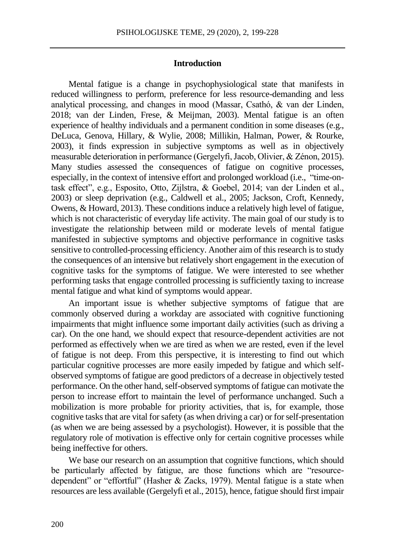### **Introduction**

Mental fatigue is a change in psychophysiological state that manifests in reduced willingness to perform, preference for less resource-demanding and less analytical processing, and changes in mood (Massar, Csathó, & van der Linden, 2018; van der Linden, Frese, & Meijman, 2003). Mental fatigue is an often experience of healthy individuals and a permanent condition in some diseases (e.g., DeLuca, Genova, Hillary, & Wylie, 2008; Millikin, Halman, Power, & Rourke, 2003), it finds expression in subjective symptoms as well as in objectively measurable deterioration in performance (Gergelyfi, Jacob, Olivier, & Zénon, 2015). Many studies assessed the consequences of fatigue on cognitive processes, especially, in the context of intensive effort and prolonged workload (i.e., "time-ontask effect", e.g., Esposito, Otto, Zijlstra, & Goebel, 2014; van der Linden et al., 2003) or sleep deprivation (e.g., Caldwell et al., 2005; Jackson, Croft, Kennedy, Owens, & Howard, 2013). These conditions induce a relatively high level of fatigue, which is not characteristic of everyday life activity. The main goal of our study is to investigate the relationship between mild or moderate levels of mental fatigue manifested in subjective symptoms and objective performance in cognitive tasks sensitive to controlled-processing efficiency. Another aim of this research is to study the consequences of an intensive but relatively short engagement in the execution of cognitive tasks for the symptoms of fatigue. We were interested to see whether performing tasks that engage controlled processing is sufficiently taxing to increase mental fatigue and what kind of symptoms would appear.

An important issue is whether subjective symptoms of fatigue that are commonly observed during a workday are associated with cognitive functioning impairments that might influence some important daily activities (such as driving a car). On the one hand, we should expect that resource-dependent activities are not performed as effectively when we are tired as when we are rested, even if the level of fatigue is not deep. From this perspective, it is interesting to find out which particular cognitive processes are more easily impeded by fatigue and which selfobserved symptoms of fatigue are good predictors of a decrease in objectively tested performance. On the other hand, self-observed symptoms of fatigue can motivate the person to increase effort to maintain the level of performance unchanged. Such a mobilization is more probable for priority activities, that is, for example, those cognitive tasks that are vital for safety (as when driving a car) or for self-presentation (as when we are being assessed by a psychologist). However, it is possible that the regulatory role of motivation is effective only for certain cognitive processes while being ineffective for others.

We base our research on an assumption that cognitive functions, which should be particularly affected by fatigue, are those functions which are "resourcedependent" or "effortful" (Hasher & Zacks, 1979). Mental fatigue is a state when resources are less available (Gergelyfi et al., 2015), hence, fatigue should first impair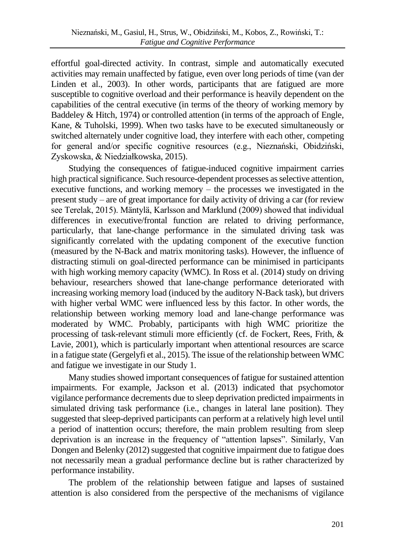effortful goal-directed activity. In contrast, simple and automatically executed activities may remain unaffected by fatigue, even over long periods of time (van der Linden et al., 2003). In other words, participants that are fatigued are more susceptible to cognitive overload and their performance is heavily dependent on the capabilities of the central executive (in terms of the theory of working memory by Baddeley & Hitch, 1974) or controlled attention (in terms of the approach of Engle, Kane, & Tuholski, 1999). When two tasks have to be executed simultaneously or switched alternately under cognitive load, they interfere with each other, competing for general and/or specific cognitive resources (e.g., Nieznański, Obidziński, Zyskowska, & Niedziałkowska, 2015).

Studying the consequences of fatigue-induced cognitive impairment carries high practical significance. Such resource-dependent processes as selective attention, executive functions, and working memory – the processes we investigated in the present study – are of great importance for daily activity of driving a car (for review see Terelak, 2015). Mäntylä, Karlsson and Marklund (2009) showed that individual differences in executive/frontal function are related to driving performance, particularly, that lane-change performance in the simulated driving task was significantly correlated with the updating component of the executive function (measured by the N-Back and matrix monitoring tasks). However, the influence of distracting stimuli on goal-directed performance can be minimised in participants with high working memory capacity (WMC). In Ross et al. (2014) study on driving behaviour, researchers showed that lane-change performance deteriorated with increasing working memory load (induced by the auditory N-Back task), but drivers with higher verbal WMC were influenced less by this factor. In other words, the relationship between working memory load and lane-change performance was moderated by WMC. Probably, participants with high WMC prioritize the processing of task-relevant stimuli more efficiently (cf. de Fockert, Rees, Frith, & Lavie, 2001), which is particularly important when attentional resources are scarce in a fatigue state (Gergelyfi et al., 2015). The issue of the relationship between WMC and fatigue we investigate in our Study 1.

Many studies showed important consequences of fatigue for sustained attention impairments. For example, Jackson et al. (2013) indicated that psychomotor vigilance performance decrements due to sleep deprivation predicted impairments in simulated driving task performance (i.e., changes in lateral lane position). They suggested that sleep-deprived participants can perform at a relatively high level until a period of inattention occurs; therefore, the main problem resulting from sleep deprivation is an increase in the frequency of "attention lapses". Similarly, Van Dongen and Belenky (2012) suggested that cognitive impairment due to fatigue does not necessarily mean a gradual performance decline but is rather characterized by performance instability.

The problem of the relationship between fatigue and lapses of sustained attention is also considered from the perspective of the mechanisms of vigilance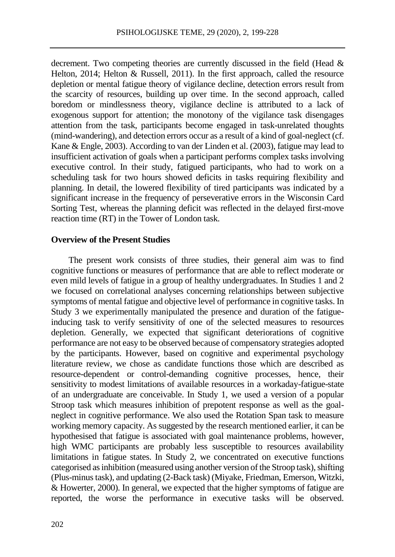decrement. Two competing theories are currently discussed in the field (Head & Helton, 2014; Helton & Russell, 2011). In the first approach, called the resource depletion or mental fatigue theory of vigilance decline, detection errors result from the scarcity of resources, building up over time. In the second approach, called boredom or mindlessness theory, vigilance decline is attributed to a lack of exogenous support for attention; the monotony of the vigilance task disengages attention from the task, participants become engaged in task-unrelated thoughts (mind-wandering), and detection errors occur as a result of a kind of goal-neglect (cf. Kane & Engle, 2003). According to van der Linden et al. (2003), fatigue may lead to insufficient activation of goals when a participant performs complex tasks involving executive control. In their study, fatigued participants, who had to work on a scheduling task for two hours showed deficits in tasks requiring flexibility and planning. In detail, the lowered flexibility of tired participants was indicated by a significant increase in the frequency of perseverative errors in the Wisconsin Card Sorting Test, whereas the planning deficit was reflected in the delayed first-move reaction time (RT) in the Tower of London task.

#### **Overview of the Present Studies**

The present work consists of three studies, their general aim was to find cognitive functions or measures of performance that are able to reflect moderate or even mild levels of fatigue in a group of healthy undergraduates. In Studies 1 and 2 we focused on correlational analyses concerning relationships between subjective symptoms of mental fatigue and objective level of performance in cognitive tasks. In Study 3 we experimentally manipulated the presence and duration of the fatigueinducing task to verify sensitivity of one of the selected measures to resources depletion. Generally, we expected that significant deteriorations of cognitive performance are not easy to be observed because of compensatory strategies adopted by the participants. However, based on cognitive and experimental psychology literature review, we chose as candidate functions those which are described as resource-dependent or control-demanding cognitive processes, hence, their sensitivity to modest limitations of available resources in a workaday-fatigue-state of an undergraduate are conceivable. In Study 1, we used a version of a popular Stroop task which measures inhibition of prepotent response as well as the goalneglect in cognitive performance. We also used the Rotation Span task to measure working memory capacity. As suggested by the research mentioned earlier, it can be hypothesised that fatigue is associated with goal maintenance problems, however, high WMC participants are probably less susceptible to resources availability limitations in fatigue states. In Study 2, we concentrated on executive functions categorised as inhibition (measured using another version of the Stroop task), shifting (Plus-minus task), and updating (2-Back task) (Miyake, Friedman, Emerson, Witzki, & Howerter, 2000). In general, we expected that the higher symptoms of fatigue are reported, the worse the performance in executive tasks will be observed.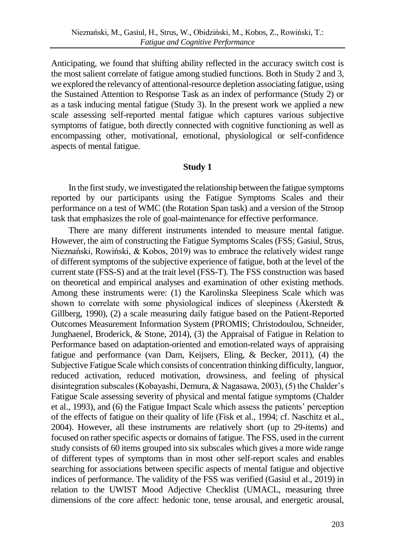Anticipating, we found that shifting ability reflected in the accuracy switch cost is the most salient correlate of fatigue among studied functions. Both in Study 2 and 3, we explored the relevancy of attentional-resource depletion associating fatigue, using the Sustained Attention to Response Task as an index of performance (Study 2) or as a task inducing mental fatigue (Study 3). In the present work we applied a new scale assessing self-reported mental fatigue which captures various subjective symptoms of fatigue, both directly connected with cognitive functioning as well as encompassing other, motivational, emotional, physiological or self-confidence aspects of mental fatigue.

### **Study 1**

In the first study, we investigated the relationship between the fatigue symptoms reported by our participants using the Fatigue Symptoms Scales and their performance on a test of WMC (the Rotation Span task) and a version of the Stroop task that emphasizes the role of goal-maintenance for effective performance.

There are many different instruments intended to measure mental fatigue. However, the aim of constructing the Fatigue Symptoms Scales (FSS; Gasiul, Strus, Nieznański, Rowiński, & Kobos, 2019) was to embrace the relatively widest range of different symptoms of the subjective experience of fatigue, both at the level of the current state (FSS-S) and at the trait level (FSS-T). The FSS construction was based on theoretical and empirical analyses and examination of other existing methods. Among these instruments were: (1) the Karolinska Sleepiness Scale which was shown to correlate with some physiological indices of sleepiness (Åkerstedt & Gillberg, 1990), (2) a scale measuring daily fatigue based on the Patient-Reported Outcomes Measurement Information System (PROMIS; Christodoulou, Schneider, Junghaenel, Broderick, & Stone, 2014), (3) the Appraisal of Fatigue in Relation to Performance based on adaptation-oriented and emotion-related ways of appraising fatigue and performance (van Dam, Keijsers, Eling, & Becker, 2011), (4) the Subjective Fatigue Scale which consists of concentration thinking difficulty, languor, reduced activation, reduced motivation, drowsiness, and feeling of physical disintegration subscales (Kobayashi, Demura, & Nagasawa, 2003), (5) the Chalder's Fatigue Scale assessing severity of physical and mental fatigue symptoms (Chalder et al., 1993), and (6) the Fatigue Impact Scale which assess the patients' perception of the effects of fatigue on their quality of life (Fisk et al., 1994; cf. Naschitz et al., 2004). However, all these instruments are relatively short (up to 29-items) and focused on rather specific aspects or domains of fatigue. The FSS, used in the current study consists of 60 items grouped into six subscales which gives a more wide range of different types of symptoms than in most other self-report scales and enables searching for associations between specific aspects of mental fatigue and objective indices of performance. The validity of the FSS was verified (Gasiul et al., 2019) in relation to the UWIST Mood Adjective Checklist (UMACL, measuring three dimensions of the core affect: hedonic tone, tense arousal, and energetic arousal,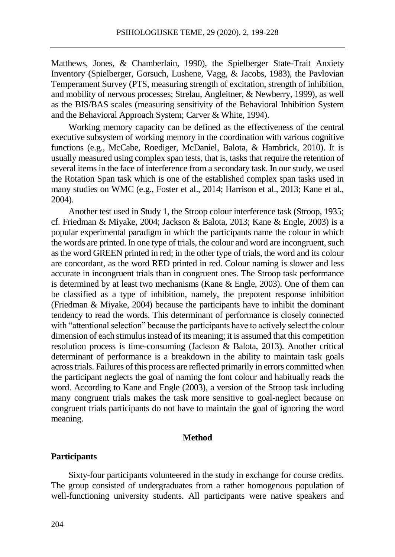Matthews, Jones, & Chamberlain, 1990), the Spielberger State-Trait Anxiety Inventory (Spielberger, Gorsuch, Lushene, Vagg, & Jacobs, 1983), the Pavlovian Temperament Survey (PTS, measuring strength of excitation, strength of inhibition, and mobility of nervous processes; Strelau, Angleitner, & Newberry, 1999), as well as the BIS/BAS scales (measuring sensitivity of the Behavioral Inhibition System and the Behavioral Approach System; Carver & White, 1994).

Working memory capacity can be defined as the effectiveness of the central executive subsystem of working memory in the coordination with various cognitive functions (e.g., McCabe, Roediger, McDaniel, Balota, & Hambrick, 2010). It is usually measured using complex span tests, that is, tasks that require the retention of several items in the face of interference from a secondary task. In our study, we used the Rotation Span task which is one of the established complex span tasks used in many studies on WMC (e.g., Foster et al., 2014; Harrison et al., 2013; Kane et al., 2004).

Another test used in Study 1, the Stroop colour interference task (Stroop, 1935; cf. Friedman & Miyake, 2004; Jackson & Balota, 2013; Kane & Engle, 2003) is a popular experimental paradigm in which the participants name the colour in which the words are printed. In one type of trials, the colour and word are incongruent, such as the word GREEN printed in red; in the other type of trials, the word and its colour are concordant, as the word RED printed in red. Colour naming is slower and less accurate in incongruent trials than in congruent ones. The Stroop task performance is determined by at least two mechanisms (Kane & Engle, 2003). One of them can be classified as a type of inhibition, namely, the prepotent response inhibition (Friedman & Miyake, 2004) because the participants have to inhibit the dominant tendency to read the words. This determinant of performance is closely connected with "attentional selection" because the participants have to actively select the colour dimension of each stimulus instead of its meaning; it is assumed that this competition resolution process is time-consuming (Jackson & Balota, 2013). Another critical determinant of performance is a breakdown in the ability to maintain task goals across trials. Failures of this process are reflected primarily in errors committed when the participant neglects the goal of naming the font colour and habitually reads the word. According to Kane and Engle (2003), a version of the Stroop task including many congruent trials makes the task more sensitive to goal-neglect because on congruent trials participants do not have to maintain the goal of ignoring the word meaning.

### **Method**

#### **Participants**

Sixty-four participants volunteered in the study in exchange for course credits. The group consisted of undergraduates from a rather homogenous population of well-functioning university students. All participants were native speakers and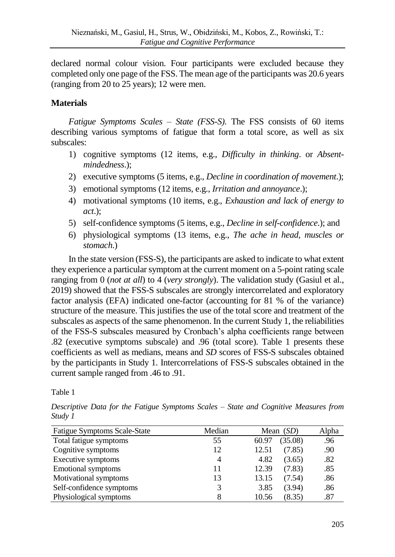declared normal colour vision. Four participants were excluded because they completed only one page of the FSS. The mean age of the participants was 20.6 years (ranging from 20 to 25 years); 12 were men.

# **Materials**

*Fatigue Symptoms Scales – State (FSS-S).* The FSS consists of 60 items describing various symptoms of fatigue that form a total score, as well as six subscales:

- 1) cognitive symptoms (12 items, e.g., *Difficulty in thinking*. or *Absentmindedness*.);
- 2) executive symptoms (5 items, e.g., *Decline in coordination of movement*.);
- 3) emotional symptoms (12 items, e.g., *Irritation and annoyance*.);
- 4) motivational symptoms (10 items, e.g., *Exhaustion and lack of energy to act*.);
- 5) self-confidence symptoms (5 items, e.g., *Decline in self-confidence*.); and
- 6) physiological symptoms (13 items, e.g., *The ache in head, muscles or stomach*.)

In the state version (FSS-S), the participants are asked to indicate to what extent they experience a particular symptom at the current moment on a 5-point rating scale ranging from 0 (*not at all*) to 4 (*very strongly*). The validation study (Gasiul et al., 2019) showed that the FSS-S subscales are strongly intercorrelated and exploratory factor analysis (EFA) indicated one-factor (accounting for 81 % of the variance) structure of the measure. This justifies the use of the total score and treatment of the subscales as aspects of the same phenomenon. In the current Study 1, the reliabilities of the FSS-S subscales measured by Cronbach's alpha coefficients range between .82 (executive symptoms subscale) and .96 (total score). Table 1 presents these coefficients as well as medians, means and *SD* scores of FSS-S subscales obtained by the participants in Study 1. Intercorrelations of FSS-S subscales obtained in the current sample ranged from .46 to .91.

# Table 1

| <b>Fatigue Symptoms Scale-State</b> | Median |       | Mean $(SD)$ |     |  |
|-------------------------------------|--------|-------|-------------|-----|--|
| Total fatigue symptoms              | 55     | 60.97 | (35.08)     | .96 |  |
| Cognitive symptoms                  | 12     | 12.51 | (7.85)      | .90 |  |
| Executive symptoms                  | 4      | 4.82  | (3.65)      | .82 |  |
| <b>Emotional symptoms</b>           | 11     | 12.39 | (7.83)      | .85 |  |
| Motivational symptoms               | 13     | 13.15 | (7.54)      | .86 |  |
| Self-confidence symptoms            | 3      | 3.85  | (3.94)      | .86 |  |
| Physiological symptoms              | 8      | 10.56 | (8.35)      | .87 |  |

*Descriptive Data for the Fatigue Symptoms Scales – State and Cognitive Measures from Study 1*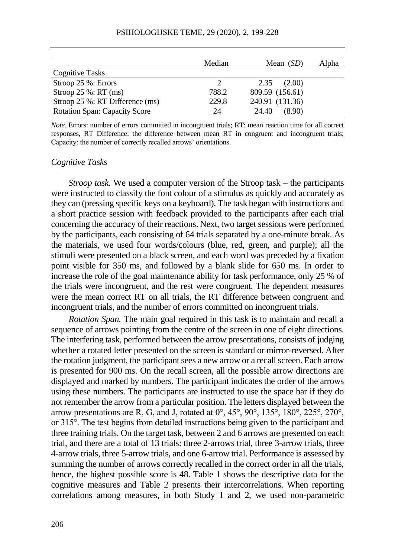|                                 | Median | Mean $(SD)$     | Alpha |
|---------------------------------|--------|-----------------|-------|
| <b>Cognitive Tasks</b>          |        |                 |       |
| Stroop 25 %: Errors             |        | 2.35<br>(2.00)  |       |
| Stroop $25$ %: RT (ms)          | 788.2  | 809.59 (156.61) |       |
| Stroop 25 %: RT Difference (ms) | 229.8  | 240.91 (131.36) |       |
| Rotation Span: Capacity Score   | 24     | 24.40<br>(8.90) |       |

*Note.* Errors: number of errors committed in incongruent trials; RT: mean reaction time for all correct responses, RT Difference: the difference between mean RT in congruent and incongruent trials; Capacity: the number of correctly recalled arrows' orientations.

#### *Cognitive Tasks*

*Stroop task.* We used a computer version of the Stroop task – the participants were instructed to classify the font colour of a stimulus as quickly and accurately as they can (pressing specific keys on a keyboard). The task began with instructions and a short practice session with feedback provided to the participants after each trial concerning the accuracy of their reactions. Next, two target sessions were performed by the participants, each consisting of 64 trials separated by a one-minute break. As the materials, we used four words/colours (blue, red, green, and purple); all the stimuli were presented on a black screen, and each word was preceded by a fixation point visible for 350 ms, and followed by a blank slide for 650 ms. In order to increase the role of the goal maintenance ability for task performance, only 25 % of the trials were incongruent, and the rest were congruent. The dependent measures were the mean correct RT on all trials, the RT difference between congruent and incongruent trials, and the number of errors committed on incongruent trials.

*Rotation Span.* The main goal required in this task is to maintain and recall a sequence of arrows pointing from the centre of the screen in one of eight directions. The interfering task, performed between the arrow presentations, consists of judging whether a rotated letter presented on the screen is standard or mirror-reversed. After the rotation judgment, the participant sees a new arrow or a recall screen. Each arrow is presented for 900 ms. On the recall screen, all the possible arrow directions are displayed and marked by numbers. The participant indicates the order of the arrows using these numbers. The participants are instructed to use the space bar if they do not remember the arrow from a particular position. The letters displayed between the arrow presentations are R, G, and J, rotated at 0°, 45°, 90°, 135°, 180°, 225°, 270°, or 315°. The test begins from detailed instructions being given to the participant and three training trials. On the target task, between 2 and 6 arrows are presented on each trial, and there are a total of 13 trials: three 2-arrows trial, three 3-arrow trials, three 4-arrow trials, three 5-arrow trials, and one 6-arrow trial. Performance is assessed by summing the number of arrows correctly recalled in the correct order in all the trials, hence, the highest possible score is 48. Table 1 shows the descriptive data for the cognitive measures and Table 2 presents their intercorrelations. When reporting correlations among measures, in both Study 1 and 2, we used non-parametric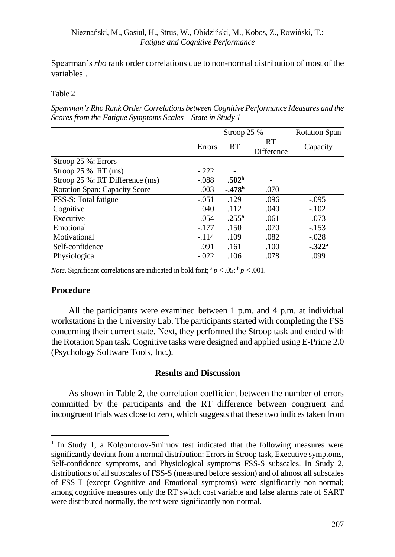Spearman's *rho* rank order correlations due to non-normal distribution of most of the variables<sup>1</sup>.

### Table 2

*Spearman's Rho Rank Order Correlations between Cognitive Performance Measures and the Scores from the Fatigue Symptoms Scales – State in Study 1*

|                                      |         | Stroop 25 %       |                  | <b>Rotation Span</b> |  |  |
|--------------------------------------|---------|-------------------|------------------|----------------------|--|--|
|                                      | Errors  | RT                | RT<br>Difference | Capacity             |  |  |
| Stroop 25 %: Errors                  |         |                   |                  |                      |  |  |
| Stroop $25$ %: RT (ms)               | $-.222$ |                   |                  |                      |  |  |
| Stroop 25 %: RT Difference (ms)      | $-.088$ | .502 <sup>b</sup> |                  |                      |  |  |
| <b>Rotation Span: Capacity Score</b> | .003    | $-478b$           | $-.070$          |                      |  |  |
| FSS-S: Total fatigue                 | $-.051$ | .129              | .096             | $-.095$              |  |  |
| Cognitive                            | .040    | .112              | .040             | $-.102$              |  |  |
| Executive                            | $-.054$ | $.255^{\rm a}$    | .061             | $-.073$              |  |  |
| Emotional                            | $-.177$ | .150              | .070             | $-.153$              |  |  |
| Motivational                         | $-.114$ | .109              | .082             | $-.028$              |  |  |
| Self-confidence                      | .091    | .161              | .100             | $-322^{\rm a}$       |  |  |
| Physiological                        | $-.022$ | .106              | .078             | .099                 |  |  |

*Note*. Significant correlations are indicated in bold font;  ${}^{a}p < .05; {}^{b}p < .001$ .

# **Procedure**

 $\overline{a}$ 

All the participants were examined between 1 p.m. and 4 p.m. at individual workstations in the University Lab. The participants started with completing the FSS concerning their current state. Next, they performed the Stroop task and ended with the Rotation Span task. Cognitive tasks were designed and applied using E-Prime 2.0 (Psychology Software Tools, Inc.).

# **Results and Discussion**

As shown in Table 2, the correlation coefficient between the number of errors committed by the participants and the RT difference between congruent and incongruent trials was close to zero, which suggests that these two indices taken from

<sup>&</sup>lt;sup>1</sup> In Study 1, a Kolgomorov-Smirnov test indicated that the following measures were significantly deviant from a normal distribution: Errors in Stroop task, Executive symptoms, Self-confidence symptoms, and Physiological symptoms FSS-S subscales. In Study 2, distributions of all subscales of FSS-S (measured before session) and of almost all subscales of FSS-T (except Cognitive and Emotional symptoms) were significantly non-normal; among cognitive measures only the RT switch cost variable and false alarms rate of SART were distributed normally, the rest were significantly non-normal.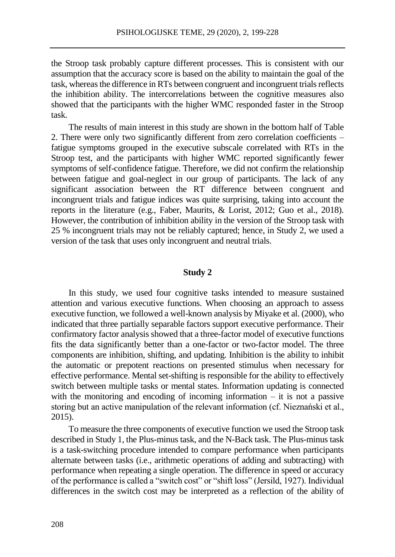the Stroop task probably capture different processes. This is consistent with our assumption that the accuracy score is based on the ability to maintain the goal of the task, whereas the difference in RTs between congruent and incongruent trials reflects the inhibition ability. The intercorrelations between the cognitive measures also showed that the participants with the higher WMC responded faster in the Stroop task.

The results of main interest in this study are shown in the bottom half of Table 2. There were only two significantly different from zero correlation coefficients – fatigue symptoms grouped in the executive subscale correlated with RTs in the Stroop test, and the participants with higher WMC reported significantly fewer symptoms of self-confidence fatigue. Therefore, we did not confirm the relationship between fatigue and goal-neglect in our group of participants. The lack of any significant association between the RT difference between congruent and incongruent trials and fatigue indices was quite surprising, taking into account the reports in the literature (e.g., Faber, Maurits, & Lorist, 2012; Guo et al., 2018). However, the contribution of inhibition ability in the version of the Stroop task with 25 % incongruent trials may not be reliably captured; hence, in Study 2, we used a version of the task that uses only incongruent and neutral trials.

#### **Study 2**

In this study, we used four cognitive tasks intended to measure sustained attention and various executive functions. When choosing an approach to assess executive function, we followed a well-known analysis by Miyake et al. (2000), who indicated that three partially separable factors support executive performance. Their confirmatory factor analysis showed that a three-factor model of executive functions fits the data significantly better than a one-factor or two-factor model. The three components are inhibition, shifting, and updating. Inhibition is the ability to inhibit the automatic or prepotent reactions on presented stimulus when necessary for effective performance. Mental set-shifting is responsible for the ability to effectively switch between multiple tasks or mental states. Information updating is connected with the monitoring and encoding of incoming information – it is not a passive storing but an active manipulation of the relevant information (cf. Nieznański et al., 2015).

To measure the three components of executive function we used the Stroop task described in Study 1, the Plus-minus task, and the N-Back task. The Plus-minus task is a task-switching procedure intended to compare performance when participants alternate between tasks (i.e., arithmetic operations of adding and subtracting) with performance when repeating a single operation. The difference in speed or accuracy of the performance is called a "switch cost" or "shift loss" (Jersild, 1927). Individual differences in the switch cost may be interpreted as a reflection of the ability of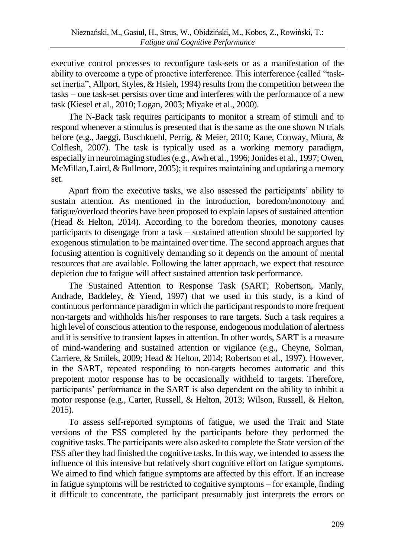executive control processes to reconfigure task-sets or as a manifestation of the ability to overcome a type of proactive interference. This interference (called "taskset inertia", Allport, Styles, & Hsieh, 1994) results from the competition between the tasks – one task-set persists over time and interferes with the performance of a new task (Kiesel et al., 2010; Logan, 2003; Miyake et al., 2000).

The N-Back task requires participants to monitor a stream of stimuli and to respond whenever a stimulus is presented that is the same as the one shown N trials before (e.g., Jaeggi, Buschkuehl, Perrig, & Meier, 2010; Kane, Conway, Miura, & Colflesh, 2007). The task is typically used as a working memory paradigm, especially in neuroimaging studies (e.g., Awh et al., 1996; Jonides et al., 1997; Owen, McMillan, Laird, & Bullmore, 2005); it requires maintaining and updating a memory set.

Apart from the executive tasks, we also assessed the participants' ability to sustain attention. As mentioned in the introduction, boredom/monotony and fatigue/overload theories have been proposed to explain lapses of sustained attention (Head & Helton, 2014). According to the boredom theories, monotony causes participants to disengage from a task – sustained attention should be supported by exogenous stimulation to be maintained over time. The second approach argues that focusing attention is cognitively demanding so it depends on the amount of mental resources that are available. Following the latter approach, we expect that resource depletion due to fatigue will affect sustained attention task performance.

The Sustained Attention to Response Task (SART; Robertson, Manly, Andrade, Baddeley, & Yiend, 1997) that we used in this study, is a kind of continuous performance paradigm in which the participant responds to more frequent non-targets and withholds his/her responses to rare targets. Such a task requires a high level of conscious attention to the response, endogenous modulation of alertness and it is sensitive to transient lapses in attention. In other words, SART is a measure of mind-wandering and sustained attention or vigilance (e.g., Cheyne, Solman, Carriere, & Smilek, 2009; Head & Helton, 2014; Robertson et al., 1997). However, in the SART, repeated responding to non-targets becomes automatic and this prepotent motor response has to be occasionally withheld to targets. Therefore, participants' performance in the SART is also dependent on the ability to inhibit a motor response (e.g., Carter, Russell, & Helton, 2013; Wilson, Russell, & Helton, 2015).

To assess self-reported symptoms of fatigue, we used the Trait and State versions of the FSS completed by the participants before they performed the cognitive tasks. The participants were also asked to complete the State version of the FSS after they had finished the cognitive tasks. In this way, we intended to assess the influence of this intensive but relatively short cognitive effort on fatigue symptoms. We aimed to find which fatigue symptoms are affected by this effort. If an increase in fatigue symptoms will be restricted to cognitive symptoms – for example, finding it difficult to concentrate, the participant presumably just interprets the errors or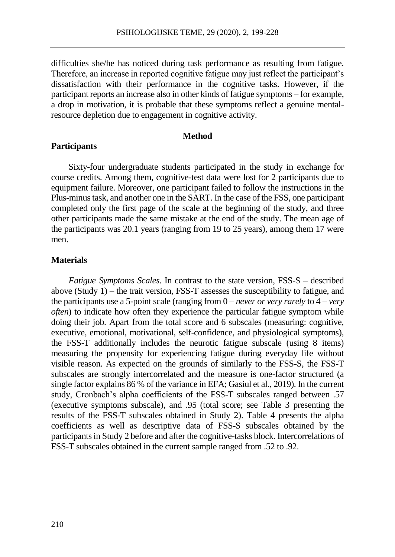difficulties she/he has noticed during task performance as resulting from fatigue. Therefore, an increase in reported cognitive fatigue may just reflect the participant's dissatisfaction with their performance in the cognitive tasks. However, if the participant reports an increase also in other kinds of fatigue symptoms – for example, a drop in motivation, it is probable that these symptoms reflect a genuine mentalresource depletion due to engagement in cognitive activity.

### **Method**

### **Participants**

Sixty-four undergraduate students participated in the study in exchange for course credits. Among them, cognitive-test data were lost for 2 participants due to equipment failure. Moreover, one participant failed to follow the instructions in the Plus-minus task, and another one in the SART. In the case of the FSS, one participant completed only the first page of the scale at the beginning of the study, and three other participants made the same mistake at the end of the study. The mean age of the participants was 20.1 years (ranging from 19 to 25 years), among them 17 were men.

### **Materials**

*Fatigue Symptoms Scales.* In contrast to the state version, FSS-S – described above (Study 1) – the trait version, FSS-T assesses the susceptibility to fatigue, and the participants use a 5-point scale (ranging from 0 – *never or very rarely* to 4 – *very often*) to indicate how often they experience the particular fatigue symptom while doing their job. Apart from the total score and 6 subscales (measuring: cognitive, executive, emotional, motivational, self-confidence, and physiological symptoms), the FSS-T additionally includes the neurotic fatigue subscale (using 8 items) measuring the propensity for experiencing fatigue during everyday life without visible reason. As expected on the grounds of similarly to the FSS-S, the FSS-T subscales are strongly intercorrelated and the measure is one-factor structured (a single factor explains 86 % of the variance in EFA; Gasiul et al., 2019). In the current study, Cronbach's alpha coefficients of the FSS-T subscales ranged between .57 (executive symptoms subscale), and .95 (total score; see Table 3 presenting the results of the FSS-T subscales obtained in Study 2). Table 4 presents the alpha coefficients as well as descriptive data of FSS-S subscales obtained by the participants in Study 2 before and after the cognitive-tasks block. Intercorrelations of FSS-T subscales obtained in the current sample ranged from .52 to .92.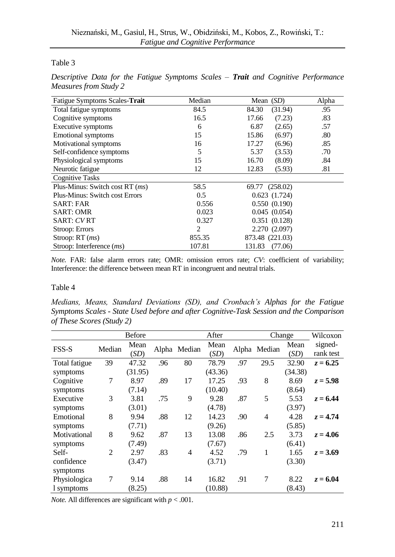## Table 3

|                       |  |  |  |  | Descriptive Data for the Fatigue Symptoms Scales – <b>Trait</b> and Cognitive Performance |
|-----------------------|--|--|--|--|-------------------------------------------------------------------------------------------|
| Measures from Study 2 |  |  |  |  |                                                                                           |

| <b>Fatigue Symptoms Scales-Trait</b>  | Median         | Mean $(SD)$       | Alpha |
|---------------------------------------|----------------|-------------------|-------|
| Total fatigue symptoms                | 84.5           | 84.30<br>(31.94)  | .95   |
| Cognitive symptoms                    | 16.5           | 17.66<br>(7.23)   | .83   |
| Executive symptoms                    | 6              | 6.87<br>(2.65)    | .57   |
| <b>Emotional symptoms</b>             | 15             | 15.86<br>(6.97)   | .80   |
| Motivational symptoms                 | 16             | 17.27<br>(6.96)   | .85   |
| Self-confidence symptoms              | 5              | 5.37<br>(3.53)    | .70   |
| Physiological symptoms                | 15             | 16.70<br>(8.09)   | .84   |
| Neurotic fatigue                      | 12             | 12.83<br>(5.93)   | .81   |
| <b>Cognitive Tasks</b>                |                |                   |       |
| Plus-Minus: Switch cost RT (ms)       | 58.5           | 69.77 (258.02)    |       |
| <b>Plus-Minus: Switch cost Errors</b> | 0.5            | 0.623(1.724)      |       |
| <b>SART: FAR</b>                      | 0.556          | 0.550(0.190)      |       |
| <b>SART: OMR</b>                      | 0.023          | 0.045(0.054)      |       |
| <b>SART: CVRT</b>                     | 0.327          | 0.351(0.128)      |       |
| Stroop: Errors                        | $\overline{c}$ | 2.270 (2.097)     |       |
| Stroop: $RT$ $(ms)$                   | 855.35         | 873.48 (221.03)   |       |
| Stroop: Interference $(ms)$           | 107.81         | (77.06)<br>131.83 |       |

*Note.* FAR: false alarm errors rate; OMR: omission errors rate; *CV*: coefficient of variability; Interference: the difference between mean RT in incongruent and neutral trials.

### Table 4

*Medians, Means, Standard Deviations (SD), and Cronbach's Alphas for the Fatigue Symptoms Scales - State Used before and after Cognitive-Task Session and the Comparison of These Scores (Study 2)*

|               | <b>Before</b>  |         |     |                | After   |       | Change         |         | Wilcoxon   |
|---------------|----------------|---------|-----|----------------|---------|-------|----------------|---------|------------|
| FSS-S         | Median         | Mean    |     | Alpha Median   | Mean    | Alpha | Median         | Mean    | signed-    |
|               |                | (SD)    |     |                | (SD)    |       |                | (SD)    | rank test  |
| Total fatigue | 39             | 47.32   | .96 | 80             | 78.79   | .97   | 29.5           | 32.90   | $z = 6.25$ |
| symptoms      |                | (31.95) |     |                | (43.36) |       |                | (34.38) |            |
| Cognitive     | 7              | 8.97    | .89 | 17             | 17.25   | .93   | 8              | 8.69    | $z = 5.98$ |
| symptoms      |                | (7.14)  |     |                | (10.40) |       |                | (8.64)  |            |
| Executive     | 3              | 3.81    | .75 | 9              | 9.28    | .87   | 5              | 5.53    | $z = 6.44$ |
| symptoms      |                | (3.01)  |     |                | (4.78)  |       |                | (3.97)  |            |
| Emotional     | 8              | 9.94    | .88 | 12             | 14.23   | .90   | $\overline{4}$ | 4.28    | $z = 4.74$ |
| symptoms      |                | (7.71)  |     |                | (9.26)  |       |                | (5.85)  |            |
| Motivational  | 8              | 9.62    | .87 | 13             | 13.08   | .86   | 2.5            | 3.73    | $z = 4.06$ |
| symptoms      |                | (7.49)  |     |                | (7.67)  |       |                | (6.41)  |            |
| Self-         | $\overline{c}$ | 2.97    | .83 | $\overline{4}$ | 4.52    | .79   | 1              | 1.65    | $z = 3.69$ |
| confidence    |                | (3.47)  |     |                | (3.71)  |       |                | (3.30)  |            |
| symptoms      |                |         |     |                |         |       |                |         |            |
| Physiologica  | 7              | 9.14    | .88 | 14             | 16.82   | .91   | 7              | 8.22    | $z = 6.04$ |
| 1 symptoms    |                | (8.25)  |     |                | (10.88) |       |                | (8.43)  |            |

*Note.* All differences are significant with  $p < .001$ .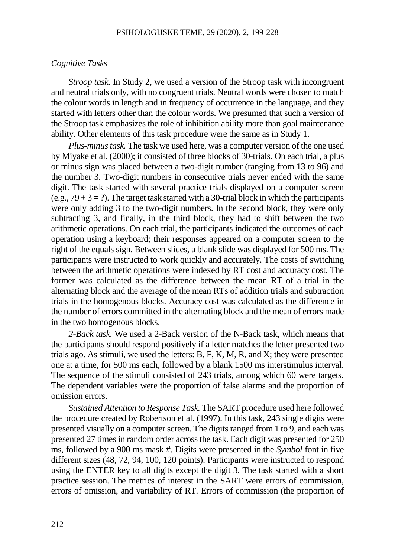#### *Cognitive Tasks*

*Stroop task.* In Study 2, we used a version of the Stroop task with incongruent and neutral trials only, with no congruent trials. Neutral words were chosen to match the colour words in length and in frequency of occurrence in the language, and they started with letters other than the colour words. We presumed that such a version of the Stroop task emphasizes the role of inhibition ability more than goal maintenance ability. Other elements of this task procedure were the same as in Study 1.

*Plus-minus task.* The task we used here, was a computer version of the one used by Miyake et al. (2000); it consisted of three blocks of 30-trials. On each trial, a plus or minus sign was placed between a two-digit number (ranging from 13 to 96) and the number 3. Two-digit numbers in consecutive trials never ended with the same digit. The task started with several practice trials displayed on a computer screen (e.g.,  $79 + 3 = ?$ ). The target task started with a 30-trial block in which the participants were only adding 3 to the two-digit numbers. In the second block, they were only subtracting 3, and finally, in the third block, they had to shift between the two arithmetic operations. On each trial, the participants indicated the outcomes of each operation using a keyboard; their responses appeared on a computer screen to the right of the equals sign. Between slides, a blank slide was displayed for 500 ms. The participants were instructed to work quickly and accurately. The costs of switching between the arithmetic operations were indexed by RT cost and accuracy cost. The former was calculated as the difference between the mean RT of a trial in the alternating block and the average of the mean RTs of addition trials and subtraction trials in the homogenous blocks. Accuracy cost was calculated as the difference in the number of errors committed in the alternating block and the mean of errors made in the two homogenous blocks.

*2-Back task.* We used a 2-Back version of the N-Back task, which means that the participants should respond positively if a letter matches the letter presented two trials ago. As stimuli, we used the letters: B, F, K, M, R, and X; they were presented one at a time, for 500 ms each, followed by a blank 1500 ms interstimulus interval. The sequence of the stimuli consisted of 243 trials, among which 60 were targets. The dependent variables were the proportion of false alarms and the proportion of omission errors.

*Sustained Attention to Response Task.* The SART procedure used here followed the procedure created by Robertson et al. (1997). In this task, 243 single digits were presented visually on a computer screen. The digits ranged from 1 to 9, and each was presented 27 times in random order across the task. Each digit was presented for 250 ms, followed by a 900 ms mask #. Digits were presented in the *Symbol* font in five different sizes (48, 72, 94, 100, 120 points). Participants were instructed to respond using the ENTER key to all digits except the digit 3. The task started with a short practice session. The metrics of interest in the SART were errors of commission, errors of omission, and variability of RT. Errors of commission (the proportion of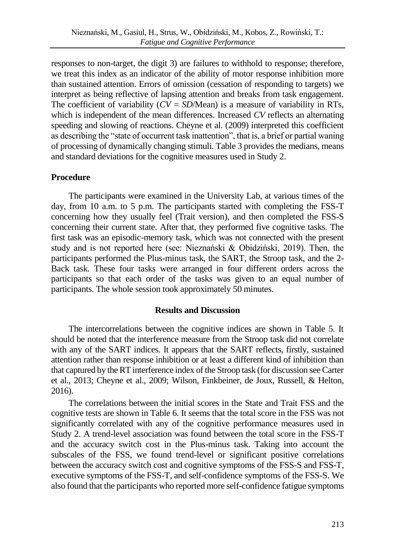responses to non-target, the digit 3) are failures to withhold to response; therefore, we treat this index as an indicator of the ability of motor response inhibition more than sustained attention. Errors of omission (cessation of responding to targets) we interpret as being reflective of lapsing attention and breaks from task engagement. The coefficient of variability  $(CV = SD/Mean)$  is a measure of variability in RTs, which is independent of the mean differences. Increased *CV* reflects an alternating speeding and slowing of reactions. Cheyne et al. (2009) interpreted this coefficient as describing the "state of occurrent task inattention", that is, a brief or partial waning of processing of dynamically changing stimuli. Table 3 provides the medians, means and standard deviations for the cognitive measures used in Study 2.

# **Procedure**

The participants were examined in the University Lab, at various times of the day, from 10 a.m. to 5 p.m. The participants started with completing the FSS-T concerning how they usually feel (Trait version), and then completed the FSS-S concerning their current state. After that, they performed five cognitive tasks. The first task was an episodic-memory task, which was not connected with the present study and is not reported here (see: Nieznański & Obidziński, 2019). Then, the participants performed the Plus-minus task, the SART, the Stroop task, and the 2- Back task. These four tasks were arranged in four different orders across the participants so that each order of the tasks was given to an equal number of participants. The whole session took approximately 50 minutes.

# **Results and Discussion**

The intercorrelations between the cognitive indices are shown in Table 5. It should be noted that the interference measure from the Stroop task did not correlate with any of the SART indices. It appears that the SART reflects, firstly, sustained attention rather than response inhibition or at least a different kind of inhibition than that captured by the RT interference index of the Stroop task (for discussion see Carter et al., 2013; Cheyne et al., 2009; Wilson, Finkbeiner, de Joux, Russell, & Helton, 2016).

The correlations between the initial scores in the State and Trait FSS and the cognitive tests are shown in Table 6. It seems that the total score in the FSS was not significantly correlated with any of the cognitive performance measures used in Study 2. A trend-level association was found between the total score in the FSS-T and the accuracy switch cost in the Plus-minus task. Taking into account the subscales of the FSS, we found trend-level or significant positive correlations between the accuracy switch cost and cognitive symptoms of the FSS-S and FSS-T, executive symptoms of the FSS-T, and self-confidence symptoms of the FSS-S. We also found that the participants who reported more self-confidence fatigue symptoms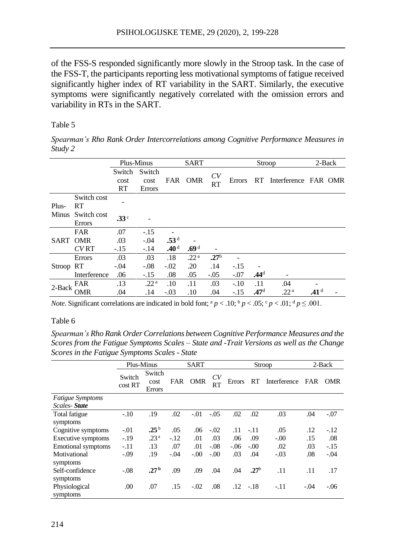of the FSS-S responded significantly more slowly in the Stroop task. In the case of the FSS-T, the participants reporting less motivational symptoms of fatigue received significantly higher index of RT variability in the SART. Similarly, the executive symptoms were significantly negatively correlated with the omission errors and variability in RTs in the SART.

#### Table 5

*Spearman's Rho Rank Order Intercorrelations among Cognitive Performance Measures in Study 2*

|           |                       |                  | Plus-Minus       |                  | SART             |                  |        | Stroop           |                      |         | $2 - Back$ |
|-----------|-----------------------|------------------|------------------|------------------|------------------|------------------|--------|------------------|----------------------|---------|------------|
|           |                       | Switch           | Switch           |                  |                  | CV               |        |                  |                      |         |            |
|           |                       | cost             | cost             | FAR              | OMR              | <b>RT</b>        | Errors | RT.              | Interference FAR OMR |         |            |
|           |                       | RT               | Errors           |                  |                  |                  |        |                  |                      |         |            |
| Plus-     | Switch cost<br>RT.    |                  |                  |                  |                  |                  |        |                  |                      |         |            |
| Minus     | Switch cost<br>Errors | .33 <sup>c</sup> |                  |                  |                  |                  |        |                  |                      |         |            |
|           | FAR                   | .07              | $-.15$           |                  |                  |                  |        |                  |                      |         |            |
| SART      | <b>OMR</b>            | .03              | $-.04$           | .53 <sup>d</sup> |                  |                  |        |                  |                      |         |            |
|           | <b>CVRT</b>           | $-.15$           | $-.14$           | .40 <sup>d</sup> | .69 <sup>d</sup> |                  |        |                  |                      |         |            |
|           | Errors                | .03              | .03              | .18              | .22 <sup>a</sup> | .27 <sup>b</sup> |        |                  |                      |         |            |
| Stroop RT |                       | $-.04$           | $-.08$           | $-.02$           | .20              | .14              | $-.15$ |                  |                      |         |            |
|           | Interference          | .06              | $-.15$           | .08              | .05              | $-.05$           | $-.07$ | .44 <sup>d</sup> |                      |         |            |
|           | FAR                   | .13              | .22 <sup>a</sup> | .10              | .11              | .03              | $-.10$ | .11              | .04                  |         |            |
| 2-Back    | OMR                   | .04              | .14              | $-.03$           | .10              | .04              | $-15$  | .47 <sup>d</sup> | .22 <sup>a</sup>     | .41 $d$ |            |

*Note*. Significant correlations are indicated in bold font;  ${}^{a}p < .10$ ;  ${}^{b}p < .05$ ;  ${}^{c}p < .01$ ;  ${}^{d}p \le .001$ .

#### Table 6

*Spearman's Rho Rank Order Correlations between Cognitive Performance Measures and the Scores from the Fatigue Symptoms Scales – State and -Trait Versions as well as the Change Scores in the Fatigue Symptoms Scales - State*

|                                         | Plus-Minus        |                                 |            | <b>SART</b> |          |        | Stroop           |              |            | $2 - Back$ |  |
|-----------------------------------------|-------------------|---------------------------------|------------|-------------|----------|--------|------------------|--------------|------------|------------|--|
|                                         | Switch<br>cost RT | Switch<br>cost<br><b>Errors</b> | <b>FAR</b> | <b>OMR</b>  | CV<br>RT | Errors | RT               | Interference | <b>FAR</b> | <b>OMR</b> |  |
| <b>Fatigue Symptoms</b><br>Scales-State |                   |                                 |            |             |          |        |                  |              |            |            |  |
| Total fatigue<br>symptoms               | $-.10$            | .19                             | .02        | $-.01$      | $-.05$   | .02    | .02              | .03          | .04        | $-.07$     |  |
| Cognitive symptoms                      | $-.01$            | .25 <sup>b</sup>                | .05        | .06         | $-.02$   | .11    | $-11$            | .05          | .12        | $-.12$     |  |
| Executive symptoms                      | $-.19$            | .23 <sup>a</sup>                | $-12$      | .01         | .03      | .06    | .09              | $-.00$       | .15        | .08        |  |
| Emotional symptoms                      | $-11$             | .13                             | .07        | .01         | $-.08$   | $-06$  | $-.00$           | .02          | .03        | $-.15$     |  |
| Motivational<br>symptoms                | $-.09$            | .19                             | $-.04$     | $-.00$      | $-.00$   | .03    | .04              | $-.03$       | .08        | $-.04$     |  |
| Self-confidence<br>symptoms             | $-.08$            | .27 <sup>b</sup>                | .09        | .09         | .04      | .04    | .27 <sup>b</sup> | .11          | .11        | .17        |  |
| Physiological<br>symptoms               | .00               | .07                             | .15        | $-.02$      | .08      | .12    | $-.18$           | $-.11$       | $-.04$     | $-.06$     |  |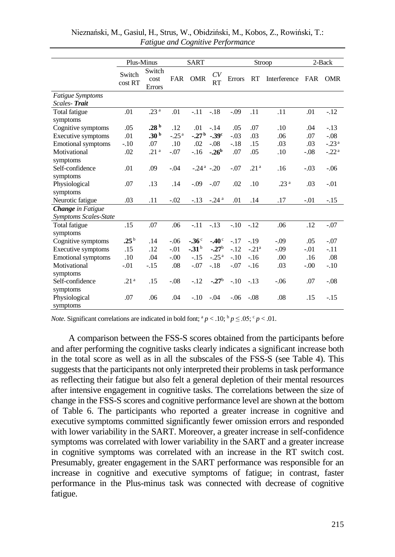|                                                          | Plus-Minus        |                                 |            | <b>SART</b>                |                      |         | Stroop           |                  |         | 2-Back               |
|----------------------------------------------------------|-------------------|---------------------------------|------------|----------------------------|----------------------|---------|------------------|------------------|---------|----------------------|
|                                                          | Switch<br>cost RT | Switch<br>cost<br><b>Errors</b> | <b>FAR</b> | <b>OMR</b>                 | СV<br>RT             | Errors  | <b>RT</b>        | Interference     | FAR     | <b>OMR</b>           |
| <b>Fatigue Symptoms</b>                                  |                   |                                 |            |                            |                      |         |                  |                  |         |                      |
| Scales-Trait                                             |                   |                                 |            |                            |                      |         |                  |                  |         |                      |
| Total fatigue<br>symptoms                                | .01               | .23 <sup>a</sup>                | .01        | $-.11$                     | $-.18$               | $-0.09$ | .11              | .11              | .01     | $-.12$               |
| Cognitive symptoms                                       | .05               | .28 $^{\rm b}$                  | .12        | .01                        | $-.14$               | .05     | .07              | .10              | .04     | $-.13$               |
| Executive symptoms                                       | .01               | .30 $b$                         | $-.25a$    | $-27b$                     | $-0.39$ <sup>c</sup> | $-.03$  | .03              | .06              | .07     | $-0.08$              |
| <b>Emotional symptoms</b>                                | $-.10$            | .07                             | .10        | .02                        | $-.08$               | $-18$   | .15              | .03              | .03     | $-0.23$ <sup>a</sup> |
| Motivational                                             | .02               | .21 <sup>a</sup>                | $-.07$     | $-.16$                     | $-.26b$              | .07     | .05              | .10              | $-0.08$ | $-.22a$              |
| symptoms                                                 |                   |                                 |            |                            |                      |         |                  |                  |         |                      |
| Self-confidence                                          | .01               | .09                             | $-.04$     | $-.24^{\mathrm{a}}$ $-.20$ |                      | $-.07$  | .21 <sup>a</sup> | .16              | $-0.03$ | $-.06$               |
| symptoms                                                 |                   |                                 |            |                            |                      |         |                  |                  |         |                      |
| Physiological                                            | .07               | .13                             | .14        | $-.09$                     | $-.07$               | .02     | .10              | .23 <sup>a</sup> | .03     | $-.01$               |
| symptoms                                                 |                   |                                 |            |                            |                      |         |                  |                  |         |                      |
| Neurotic fatigue                                         | .03               | .11                             | $-.02$     | $-.13$                     | $-.24a$              | .01     | .14              | .17              | $-.01$  | $-.15$               |
| <b>Change</b> in Fatigue<br><b>Symptoms Scales-State</b> |                   |                                 |            |                            |                      |         |                  |                  |         |                      |
| Total fatigue                                            | .15               | .07                             | .06        | $-.11$                     | $-.13$               | $-.10$  | $-.12$           | .06              | .12     | $-.07$               |
| symptoms                                                 |                   |                                 |            |                            |                      |         |                  |                  |         |                      |
| Cognitive symptoms                                       | .25 <sup>b</sup>  | .14                             | $-.06$     | $-36^\circ$                | $-40°$               | $-.17$  | $-.19$           | $-0.09$          | .05     | $-.07$               |
| Executive symptoms                                       | .15               | .12                             | $-.01$     | $-31b$                     | $-0.27$ <sup>b</sup> | $-.12$  | $-.21a$          | $-.09$           | $-.01$  | $-.11$               |
| <b>Emotional symptoms</b>                                | .10               | .04                             | $-.00$     | $-.15$                     | $-.25a$              | $-10$   | $-16$            | .00              | .16     | .08                  |
| Motivational                                             | $-.01$            | $-15$                           | .08        | $-.07$                     | $-.18$               | $-.07$  | $-16$            | .03              | $-0.00$ | $-.10$               |
| symptoms                                                 |                   |                                 |            |                            |                      |         |                  |                  |         |                      |
| Self-confidence                                          | .21 <sup>a</sup>  | .15                             | $-.08$     | $-.12$                     | $-0.27$ <sup>b</sup> | $-.10$  | $-.13$           | $-.06$           | .07     | $-.08$               |
| symptoms                                                 |                   |                                 |            |                            |                      |         |                  |                  |         |                      |
| Physiological                                            | .07               | .06                             | .04        | $-10$                      | $-04$                | $-.06$  | $-.08$           | .08              | .15     | $-.15$               |
| symptoms                                                 |                   |                                 |            |                            |                      |         |                  |                  |         |                      |

| Nieznański, M., Gasiul, H., Strus, W., Obidziński, M., Kobos, Z., Rowiński, T.: |
|---------------------------------------------------------------------------------|
| <b>Fatigue and Cognitive Performance</b>                                        |

*Note*. Significant correlations are indicated in bold font;  ${}^{a}p < .10$ ;  ${}^{b}p \le .05$ ;  ${}^{c}p < .01$ .

A comparison between the FSS-S scores obtained from the participants before and after performing the cognitive tasks clearly indicates a significant increase both in the total score as well as in all the subscales of the FSS-S (see Table 4). This suggests that the participants not only interpreted their problems in task performance as reflecting their fatigue but also felt a general depletion of their mental resources after intensive engagement in cognitive tasks. The correlations between the size of change in the FSS-S scores and cognitive performance level are shown at the bottom of Table 6. The participants who reported a greater increase in cognitive and executive symptoms committed significantly fewer omission errors and responded with lower variability in the SART. Moreover, a greater increase in self-confidence symptoms was correlated with lower variability in the SART and a greater increase in cognitive symptoms was correlated with an increase in the RT switch cost. Presumably, greater engagement in the SART performance was responsible for an increase in cognitive and executive symptoms of fatigue; in contrast, faster performance in the Plus-minus task was connected with decrease of cognitive fatigue.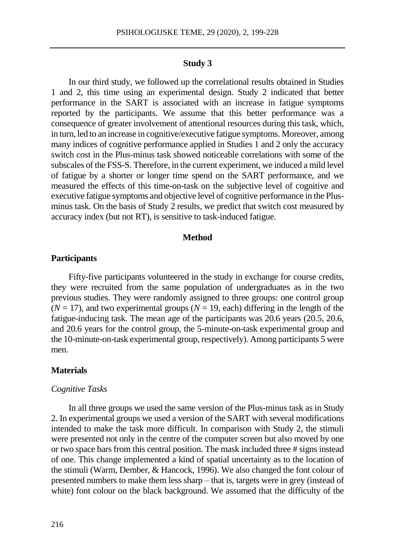#### **Study 3**

In our third study, we followed up the correlational results obtained in Studies 1 and 2, this time using an experimental design. Study 2 indicated that better performance in the SART is associated with an increase in fatigue symptoms reported by the participants. We assume that this better performance was a consequence of greater involvement of attentional resources during this task, which, in turn, led to an increase in cognitive/executive fatigue symptoms. Moreover, among many indices of cognitive performance applied in Studies 1 and 2 only the accuracy switch cost in the Plus-minus task showed noticeable correlations with some of the subscales of the FSS-S. Therefore, in the current experiment, we induced a mild level of fatigue by a shorter or longer time spend on the SART performance, and we measured the effects of this time-on-task on the subjective level of cognitive and executive fatigue symptoms and objective level of cognitive performance in the Plusminus task. On the basis of Study 2 results, we predict that switch cost measured by accuracy index (but not RT), is sensitive to task-induced fatigue.

#### **Method**

#### **Participants**

Fifty-five participants volunteered in the study in exchange for course credits, they were recruited from the same population of undergraduates as in the two previous studies. They were randomly assigned to three groups: one control group  $(N = 17)$ , and two experimental groups  $(N = 19)$ , each) differing in the length of the fatigue-inducing task. The mean age of the participants was 20.6 years (20.5, 20.6, and 20.6 years for the control group, the 5-minute-on-task experimental group and the 10-minute-on-task experimental group, respectively). Among participants 5 were men.

### **Materials**

#### *Cognitive Tasks*

In all three groups we used the same version of the Plus-minus task as in Study 2. In experimental groups we used a version of the SART with several modifications intended to make the task more difficult. In comparison with Study 2, the stimuli were presented not only in the centre of the computer screen but also moved by one or two space bars from this central position. The mask included three # signs instead of one. This change implemented a kind of spatial uncertainty as to the location of the stimuli (Warm, Dember, & Hancock, 1996). We also changed the font colour of presented numbers to make them less sharp – that is, targets were in grey (instead of white) font colour on the black background. We assumed that the difficulty of the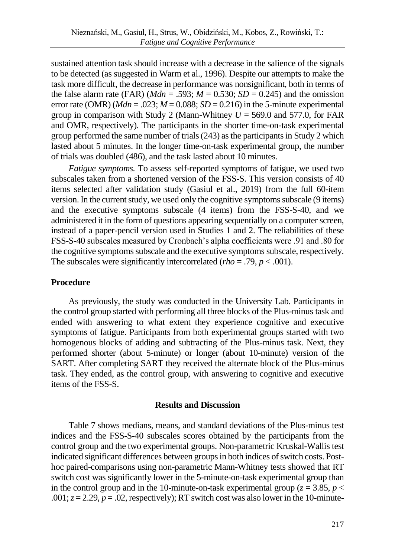sustained attention task should increase with a decrease in the salience of the signals to be detected (as suggested in Warm et al., 1996). Despite our attempts to make the task more difficult, the decrease in performance was nonsignificant, both in terms of the false alarm rate (FAR) ( $Mdn = .593$ ;  $M = 0.530$ ;  $SD = 0.245$ ) and the omission error rate (OMR) ( $Mdn = .023$ ;  $M = 0.088$ ;  $SD = 0.216$ ) in the 5-minute experimental group in comparison with Study 2 (Mann-Whitney *U* = 569.0 and 577.0, for FAR and OMR, respectively). The participants in the shorter time-on-task experimental group performed the same number of trials (243) as the participants in Study 2 which lasted about 5 minutes. In the longer time-on-task experimental group, the number of trials was doubled (486), and the task lasted about 10 minutes.

*Fatigue symptoms.* To assess self-reported symptoms of fatigue, we used two subscales taken from a shortened version of the FSS-S. This version consists of 40 items selected after validation study (Gasiul et al., 2019) from the full 60-item version. In the current study, we used only the cognitive symptoms subscale (9 items) and the executive symptoms subscale (4 items) from the FSS-S-40, and we administered it in the form of questions appearing sequentially on a computer screen, instead of a paper-pencil version used in Studies 1 and 2. The reliabilities of these FSS-S-40 subscales measured by Cronbach's alpha coefficients were .91 and .80 for the cognitive symptoms subscale and the executive symptoms subscale, respectively. The subscales were significantly intercorrelated ( $rho = .79$ ,  $p < .001$ ).

# **Procedure**

As previously, the study was conducted in the University Lab. Participants in the control group started with performing all three blocks of the Plus-minus task and ended with answering to what extent they experience cognitive and executive symptoms of fatigue. Participants from both experimental groups started with two homogenous blocks of adding and subtracting of the Plus-minus task. Next, they performed shorter (about 5-minute) or longer (about 10-minute) version of the SART. After completing SART they received the alternate block of the Plus-minus task. They ended, as the control group, with answering to cognitive and executive items of the FSS-S.

### **Results and Discussion**

Table 7 shows medians, means, and standard deviations of the Plus-minus test indices and the FSS-S-40 subscales scores obtained by the participants from the control group and the two experimental groups. Non-parametric Kruskal-Wallis test indicated significant differences between groups in both indices of switch costs. Posthoc paired-comparisons using non-parametric Mann-Whitney tests showed that RT switch cost was significantly lower in the 5-minute-on-task experimental group than in the control group and in the 10-minute-on-task experimental group ( $z = 3.85$ ,  $p <$  $.001$ ;  $z = 2.29$ ,  $p = .02$ , respectively); RT switch cost was also lower in the 10-minute-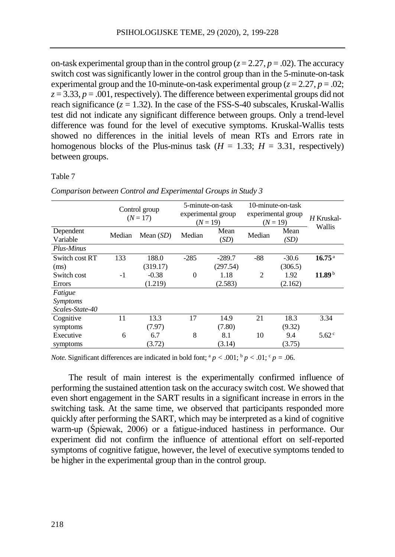on-task experimental group than in the control group ( $z = 2.27$ ,  $p = .02$ ). The accuracy switch cost was significantly lower in the control group than in the 5-minute-on-task experimental group and the 10-minute-on-task experimental group ( $z = 2.27$ ,  $p = .02$ ;  $z = 3.33$ ,  $p = .001$ , respectively). The difference between experimental groups did not reach significance  $(z = 1.32)$ . In the case of the FSS-S-40 subscales, Kruskal-Wallis test did not indicate any significant difference between groups. Only a trend-level difference was found for the level of executive symptoms. Kruskal-Wallis tests showed no differences in the initial levels of mean RTs and Errors rate in homogenous blocks of the Plus-minus task  $(H = 1.33; H = 3.31$ , respectively) between groups.

#### Table 7

| Comparison between Control and Experimental Groups in Study 3 |  |  |  |  |  |
|---------------------------------------------------------------|--|--|--|--|--|
|                                                               |  |  |  |  |  |

|                       | Control group<br>$(N = 17)$ |             |          | 5-minute-on-task<br>experimental group<br>$(N = 19)$ | 10-minute-on-task<br>experimental group<br>$(N = 19)$ | H Kruskal-<br>Wallis |                    |
|-----------------------|-----------------------------|-------------|----------|------------------------------------------------------|-------------------------------------------------------|----------------------|--------------------|
| Dependent<br>Variable | Median                      | Mean $(SD)$ | Median   | Mean<br>(SD)                                         | Median                                                | Mean<br>(SD)         |                    |
| Plus-Minus            |                             |             |          |                                                      |                                                       |                      |                    |
| Switch cost RT        | 133                         | 188.0       | $-285$   | $-289.7$                                             | $-88$                                                 | $-30.6$              | $16.75^{\text{a}}$ |
| (ms)                  |                             | (319.17)    |          | (297.54)                                             |                                                       | (306.5)              |                    |
| Switch cost           | $-1$                        | $-0.38$     | $\Omega$ | 1.18                                                 | $\overline{c}$                                        | 1.92                 | 11.89 <sup>b</sup> |
| Errors                |                             | (1.219)     |          | (2.583)                                              |                                                       | (2.162)              |                    |
| Fatigue               |                             |             |          |                                                      |                                                       |                      |                    |
| Symptoms              |                             |             |          |                                                      |                                                       |                      |                    |
| Scales-State-40       |                             |             |          |                                                      |                                                       |                      |                    |
| Cognitive             | 11                          | 13.3        | 17       | 14.9                                                 | 21                                                    | 18.3                 | 3.34               |
| symptoms              |                             | (7.97)      |          | (7.80)                                               |                                                       | (9.32)               |                    |
| Executive             | 6                           | 6.7         | 8        | 8.1                                                  | 10                                                    | 9.4                  | 5.62 <sup>c</sup>  |
| symptoms              |                             | (3.72)      |          | (3.14)                                               |                                                       | (3.75)               |                    |

*Note.* Significant differences are indicated in bold font;  ${}^{a}p < .001$ ;  ${}^{b}p < .01$ ;  ${}^{c}p = .06$ .

The result of main interest is the experimentally confirmed influence of performing the sustained attention task on the accuracy switch cost. We showed that even short engagement in the SART results in a significant increase in errors in the switching task. At the same time, we observed that participants responded more quickly after performing the SART, which may be interpreted as a kind of cognitive warm-up (Śpiewak, 2006) or a fatigue-induced hastiness in performance. Our experiment did not confirm the influence of attentional effort on self-reported symptoms of cognitive fatigue, however, the level of executive symptoms tended to be higher in the experimental group than in the control group.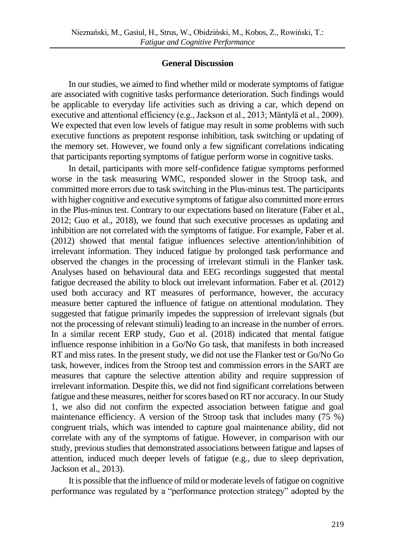# **General Discussion**

In our studies, we aimed to find whether mild or moderate symptoms of fatigue are associated with cognitive tasks performance deterioration. Such findings would be applicable to everyday life activities such as driving a car, which depend on executive and attentional efficiency (e.g., Jackson et al., 2013; Mäntylä et al., 2009). We expected that even low levels of fatigue may result in some problems with such executive functions as prepotent response inhibition, task switching or updating of the memory set. However, we found only a few significant correlations indicating that participants reporting symptoms of fatigue perform worse in cognitive tasks.

In detail, participants with more self-confidence fatigue symptoms performed worse in the task measuring WMC, responded slower in the Stroop task, and committed more errors due to task switching in the Plus-minus test. The participants with higher cognitive and executive symptoms of fatigue also committed more errors in the Plus-minus test. Contrary to our expectations based on literature (Faber et al., 2012; Guo et al., 2018), we found that such executive processes as updating and inhibition are not correlated with the symptoms of fatigue. For example, Faber et al. (2012) showed that mental fatigue influences selective attention/inhibition of irrelevant information. They induced fatigue by prolonged task performance and observed the changes in the processing of irrelevant stimuli in the Flanker task. Analyses based on behavioural data and EEG recordings suggested that mental fatigue decreased the ability to block out irrelevant information. Faber et al. (2012) used both accuracy and RT measures of performance, however, the accuracy measure better captured the influence of fatigue on attentional modulation. They suggested that fatigue primarily impedes the suppression of irrelevant signals (but not the processing of relevant stimuli) leading to an increase in the number of errors. In a similar recent ERP study, Guo et al. (2018) indicated that mental fatigue influence response inhibition in a Go/No Go task, that manifests in both increased RT and miss rates. In the present study, we did not use the Flanker test or Go/No Go task, however, indices from the Stroop test and commission errors in the SART are measures that capture the selective attention ability and require suppression of irrelevant information. Despite this, we did not find significant correlations between fatigue and these measures, neither for scores based on RT nor accuracy. In our Study 1, we also did not confirm the expected association between fatigue and goal maintenance efficiency. A version of the Stroop task that includes many (75 %) congruent trials, which was intended to capture goal maintenance ability, did not correlate with any of the symptoms of fatigue. However, in comparison with our study, previous studies that demonstrated associations between fatigue and lapses of attention, induced much deeper levels of fatigue (e.g., due to sleep deprivation, Jackson et al., 2013).

It is possible that the influence of mild or moderate levels of fatigue on cognitive performance was regulated by a "performance protection strategy" adopted by the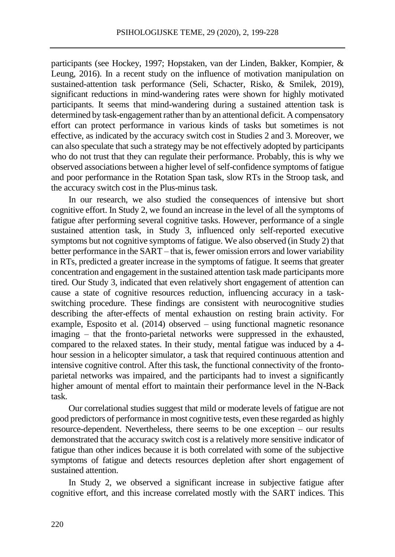participants (see Hockey, 1997; Hopstaken, van der Linden, Bakker, Kompier, & Leung, 2016). In a recent study on the influence of motivation manipulation on sustained-attention task performance (Seli, Schacter, Risko, & Smilek, 2019), significant reductions in mind-wandering rates were shown for highly motivated participants. It seems that mind-wandering during a sustained attention task is determined by task-engagement rather than by an attentional deficit. A compensatory effort can protect performance in various kinds of tasks but sometimes is not effective, as indicated by the accuracy switch cost in Studies 2 and 3. Moreover, we can also speculate that such a strategy may be not effectively adopted by participants who do not trust that they can regulate their performance. Probably, this is why we observed associations between a higher level of self-confidence symptoms of fatigue and poor performance in the Rotation Span task, slow RTs in the Stroop task, and the accuracy switch cost in the Plus-minus task.

In our research, we also studied the consequences of intensive but short cognitive effort. In Study 2, we found an increase in the level of all the symptoms of fatigue after performing several cognitive tasks. However, performance of a single sustained attention task, in Study 3, influenced only self-reported executive symptoms but not cognitive symptoms of fatigue. We also observed (in Study 2) that better performance in the SART – that is, fewer omission errors and lower variability in RTs, predicted a greater increase in the symptoms of fatigue. It seems that greater concentration and engagement in the sustained attention task made participants more tired. Our Study 3, indicated that even relatively short engagement of attention can cause a state of cognitive resources reduction, influencing accuracy in a taskswitching procedure. These findings are consistent with neurocognitive studies describing the after-effects of mental exhaustion on resting brain activity. For example, Esposito et al. (2014) observed – using functional magnetic resonance imaging – that the fronto-parietal networks were suppressed in the exhausted, compared to the relaxed states. In their study, mental fatigue was induced by a 4 hour session in a helicopter simulator, a task that required continuous attention and intensive cognitive control. After this task, the functional connectivity of the frontoparietal networks was impaired, and the participants had to invest a significantly higher amount of mental effort to maintain their performance level in the N-Back task.

Our correlational studies suggest that mild or moderate levels of fatigue are not good predictors of performance in most cognitive tests, even these regarded as highly resource-dependent. Nevertheless, there seems to be one exception – our results demonstrated that the accuracy switch cost is a relatively more sensitive indicator of fatigue than other indices because it is both correlated with some of the subjective symptoms of fatigue and detects resources depletion after short engagement of sustained attention.

In Study 2, we observed a significant increase in subjective fatigue after cognitive effort, and this increase correlated mostly with the SART indices. This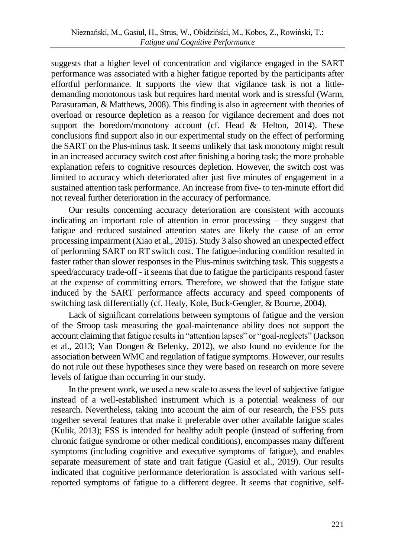suggests that a higher level of concentration and vigilance engaged in the SART performance was associated with a higher fatigue reported by the participants after effortful performance. It supports the view that vigilance task is not a littledemanding monotonous task but requires hard mental work and is stressful (Warm, Parasuraman, & Matthews, 2008). This finding is also in agreement with theories of overload or resource depletion as a reason for vigilance decrement and does not support the boredom/monotony account (cf. Head & Helton, 2014). These conclusions find support also in our experimental study on the effect of performing the SART on the Plus-minus task. It seems unlikely that task monotony might result in an increased accuracy switch cost after finishing a boring task; the more probable explanation refers to cognitive resources depletion. However, the switch cost was limited to accuracy which deteriorated after just five minutes of engagement in a sustained attention task performance. An increase from five- to ten-minute effort did not reveal further deterioration in the accuracy of performance.

Our results concerning accuracy deterioration are consistent with accounts indicating an important role of attention in error processing – they suggest that fatigue and reduced sustained attention states are likely the cause of an error processing impairment (Xiao et al., 2015). Study 3 also showed an unexpected effect of performing SART on RT switch cost. The fatigue-inducing condition resulted in faster rather than slower responses in the Plus-minus switching task. This suggests a speed/accuracy trade-off - it seems that due to fatigue the participants respond faster at the expense of committing errors. Therefore, we showed that the fatigue state induced by the SART performance affects accuracy and speed components of switching task differentially (cf. Healy, Kole, Buck-Gengler, & Bourne, 2004).

Lack of significant correlations between symptoms of fatigue and the version of the Stroop task measuring the goal-maintenance ability does not support the account claiming that fatigue results in "attention lapses" or "goal-neglects" (Jackson et al., 2013; Van Dongen & Belenky, 2012), we also found no evidence for the association between WMC and regulation of fatigue symptoms. However, our results do not rule out these hypotheses since they were based on research on more severe levels of fatigue than occurring in our study.

In the present work, we used a new scale to assess the level of subjective fatigue instead of a well-established instrument which is a potential weakness of our research. Nevertheless, taking into account the aim of our research, the FSS puts together several features that make it preferable over other available fatigue scales (Kulik, 2013); FSS is intended for healthy adult people (instead of suffering from chronic fatigue syndrome or other medical conditions), encompasses many different symptoms (including cognitive and executive symptoms of fatigue), and enables separate measurement of state and trait fatigue (Gasiul et al., 2019). Our results indicated that cognitive performance deterioration is associated with various selfreported symptoms of fatigue to a different degree. It seems that cognitive, self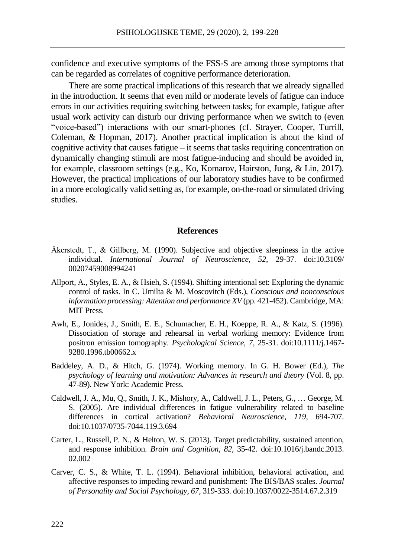confidence and executive symptoms of the FSS-S are among those symptoms that can be regarded as correlates of cognitive performance deterioration.

There are some practical implications of this research that we already signalled in the introduction. It seems that even mild or moderate levels of fatigue can induce errors in our activities requiring switching between tasks; for example, fatigue after usual work activity can disturb our driving performance when we switch to (even "voice-based") interactions with our smart-phones (cf. Strayer, Cooper, Turrill, Coleman, & Hopman, 2017). Another practical implication is about the kind of cognitive activity that causes fatigue – it seems that tasks requiring concentration on dynamically changing stimuli are most fatigue-inducing and should be avoided in, for example, classroom settings (e.g., Ko, Komarov, Hairston, Jung, & Lin, 2017). However, the practical implications of our laboratory studies have to be confirmed in a more ecologically valid setting as, for example, on-the-road or simulated driving studies.

#### **References**

- Åkerstedt, T.,  $\&$  Gillberg, M. (1990). Subjective and objective sleepiness in the active individual. *International Journal of Neuroscience, 52*, 29-37. doi:10.3109/ 00207459008994241
- Allport, A., Styles, E. A., & Hsieh, S. (1994). Shifting intentional set: Exploring the dynamic control of tasks. In C. Umilta & M. Moscovitch (Eds.), *Conscious and nonconscious information processing: Attention and performance XV* (pp. 421-452). Cambridge, MA: MIT Press.
- Awh, E., Jonides, J., Smith, E. E., Schumacher, E. H., Koeppe, R. A., & Katz, S. (1996). Dissociation of storage and rehearsal in verbal working memory: Evidence from positron emission tomography. *Psychological Science, 7*, 25-31. doi:10.1111/j.1467- 9280.1996.tb00662.x
- Baddeley, A. D., & Hitch, G. (1974). Working memory. In G. H. Bower (Ed.), *The psychology of learning and motivation: Advances in research and theory* (Vol. 8, pp. 47-89). New York: Academic Press.
- Caldwell, J. A., Mu, Q., Smith, J. K., Mishory, A., Caldwell, J. L., Peters, G., … George, M. S. (2005). Are individual differences in fatigue vulnerability related to baseline differences in cortical activation? *Behavioral Neuroscience, 119*, 694-707. doi:10.1037/0735-7044.119.3.694
- Carter, L., Russell, P. N., & Helton, W. S. (2013). Target predictability, sustained attention, and response inhibition. *Brain and Cognition, 82*, 35-42. doi:10.1016/j.bandc.2013. 02.002
- Carver, C. S., & White, T. L. (1994). Behavioral inhibition, behavioral activation, and affective responses to impeding reward and punishment: The BIS/BAS scales. *Journal of Personality and Social Psychology, 67,* 319-333. doi:10.1037/0022-3514.67.2.319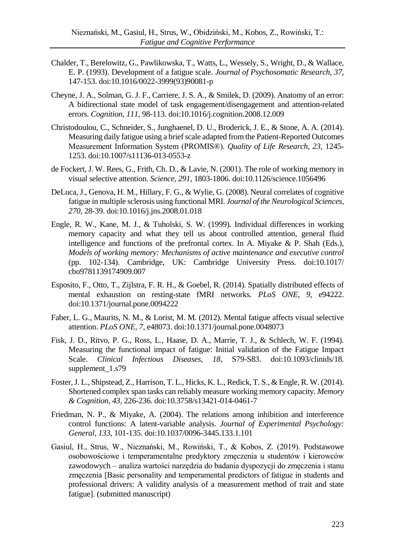- Chalder, T., Berelowitz, G., Pawlikowska, T., Watts, L., Wessely, S., Wright, D., & Wallace, E. P. (1993). Development of a fatigue scale. *Journal of Psychosomatic Research, 37*, 147-153. doi:10.1016/0022-3999(93)90081-p
- Cheyne, J. A., Solman, G. J. F., Carriere, J. S. A., & Smilek, D. (2009). Anatomy of an error: A bidirectional state model of task engagement/disengagement and attention-related errors. *Cognition, 111*, 98-113. doi:10.1016/j.cognition.2008.12.009
- Christodoulou, C., Schneider, S., Junghaenel, D. U., Broderick, J. E., & Stone, A. A. (2014). Measuring daily fatigue using a brief scale adapted from the Patient-Reported Outcomes Measurement Information System (PROMIS®). *Quality of Life Research, 23*, 1245- 1253. doi:10.1007/s11136-013-0553-z
- de Fockert, J. W. Rees, G., Frith, Ch. D., & Lavie, N. (2001). The role of working memory in visual selective attention. *Science, 291*, 1803-1806. doi:10.1126/science.1056496
- DeLuca, J., Genova, H. M., Hillary, F. G., & Wylie, G. (2008). Neural correlates of cognitive fatigue in multiple sclerosis using functional MRI. *Journal of the Neurological Sciences, 270*, 28-39. doi:10.1016/j.jns.2008.01.018
- Engle, R. W., Kane, M. J., & Tuholski, S. W. (1999). Individual differences in working memory capacity and what they tell us about controlled attention, general fluid intelligence and functions of the prefrontal cortex. In A. Miyake & P. Shah (Eds.), *Models of working memory: Mechanisms of active maintenance and executive control* (pp. 102-134). Cambridge, UK: Cambridge University Press. doi:10.1017/ cbo9781139174909.007
- Esposito, F., Otto, T., Zijlstra, F. R. H., & Goebel, R. (2014). Spatially distributed effects of mental exhaustion on resting-state fMRI networks*. PLoS ONE, 9*, e94222. doi:10.1371/journal.pone.0094222
- Faber, L. G., Maurits, N. M., & Lorist, M. M. (2012). Mental fatigue affects visual selective attention. *PLoS ONE, 7*, e48073. doi:10.1371/journal.pone.0048073
- Fisk, J. D., Ritvo, P. G., Ross, L., Haase, D. A., Marrie, T. J., & Schlech, W. F. (1994). Measuring the functional impact of fatigue: Initial validation of the Fatigue Impact Scale. *Clinical Infectious Diseases*, *18*, S79-S83. doi:10.1093/clinids/18. supplement 1.s79
- Foster, J. L., Shipstead, Z., Harrison, T. L., Hicks, K. L., Redick, T. S., & Engle, R. W. (2014). Shortened complex span tasks can reliably measure working memory capacity. *Memory & Cognition, 43*, 226-236. doi:10.3758/s13421-014-0461-7
- Friedman, N. P., & Miyake, A. (2004). The relations among inhibition and interference control functions: A latent-variable analysis. *Journal of Experimental Psychology: General, 133*, 101-135. doi:10.1037/0096-3445.133.1.101
- Gasiul, H., Strus, W., Nieznański, M., Rowiński, T., & Kobos, Z. (2019). Podstawowe osobowościowe i temperamentalne predyktory zmęczenia u studentów i kierowców zawodowych – analiza wartości narzędzia do badania dyspozycji do zmęczenia i stanu zmęczenia [Basic personality and temperamental predictors of fatigue in students and professional drivers: A validity analysis of a measurement method of trait and state fatigue]. (submitted manuscript)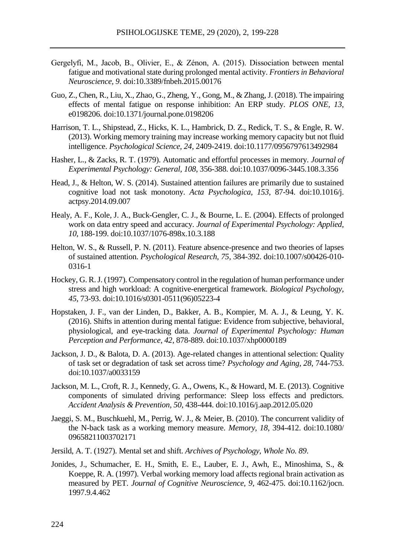- Gergelyfi, M., Jacob, B., Olivier, E., & Zénon, A. (2015). Dissociation between mental fatigue and motivational state during prolonged mental activity. *Frontiers in Behavioral Neuroscience, 9*. doi:10.3389/fnbeh.2015.00176
- Guo, Z., Chen, R., Liu, X., Zhao, G., Zheng, Y., Gong, M., & Zhang, J. (2018). The impairing effects of mental fatigue on response inhibition: An ERP study. *PLOS ONE*, *13*, e0198206. doi:10.1371/journal.pone.0198206
- Harrison, T. L., Shipstead, Z., Hicks, K. L., Hambrick, D. Z., Redick, T. S., & Engle, R. W. (2013). Working memory training may increase working memory capacity but not fluid intelligence. *Psychological Science, 24*, 2409-2419. doi:10.1177/0956797613492984
- Hasher, L., & Zacks, R. T. (1979). Automatic and effortful processes in memory. *Journal of Experimental Psychology: General, 108*, 356-388. doi:10.1037/0096-3445.108.3.356
- Head, J., & Helton, W. S. (2014). Sustained attention failures are primarily due to sustained cognitive load not task monotony. *Acta Psychologica, 153*, 87-94. doi:10.1016/j. actpsy.2014.09.007
- Healy, A. F., Kole, J. A., Buck-Gengler, C. J., & Bourne, L. E. (2004). Effects of prolonged work on data entry speed and accuracy. *Journal of Experimental Psychology: Applied, 10*, 188-199. doi:10.1037/1076-898x.10.3.188
- Helton, W. S., & Russell, P. N. (2011). Feature absence-presence and two theories of lapses of sustained attention. *Psychological Research, 75*, 384-392. doi:10.1007/s00426-010- 0316-1
- Hockey, G. R. J. (1997). Compensatory control in the regulation of human performance under stress and high workload: A cognitive-energetical framework. *Biological Psychology, 45*, 73-93. doi:10.1016/s0301-0511(96)05223-4
- Hopstaken, J. F., van der Linden, D., Bakker, A. B., Kompier, M. A. J., & Leung, Y. K. (2016). Shifts in attention during mental fatigue: Evidence from subjective, behavioral, physiological, and eye-tracking data. *Journal of Experimental Psychology: Human Perception and Performance, 42*, 878-889. doi:10.1037/xhp0000189
- Jackson, J. D., & Balota, D. A. (2013). Age-related changes in attentional selection: Quality of task set or degradation of task set across time? *Psychology and Aging, 28*, 744-753. doi:10.1037/a0033159
- Jackson, M. L., Croft, R. J., Kennedy, G. A., Owens, K., & Howard, M. E. (2013). Cognitive components of simulated driving performance: Sleep loss effects and predictors. *Accident Analysis & Prevention, 50*, 438-444. doi:10.1016/j.aap.2012.05.020
- Jaeggi, S. M., Buschkuehl, M., Perrig, W. J., & Meier, B. (2010). The concurrent validity of the N-back task as a working memory measure. *Memory, 18*, 394-412. doi:10.1080/ 09658211003702171
- Jersild, A. T. (1927). Mental set and shift. *Archives of Psychology, Whole No. 89*.
- Jonides, J., Schumacher, E. H., Smith, E. E., Lauber, E. J., Awh, E., Minoshima, S., & Koeppe, R. A. (1997). Verbal working memory load affects regional brain activation as measured by PET. *Journal of Cognitive Neuroscience, 9*, 462-475. doi:10.1162/jocn. 1997.9.4.462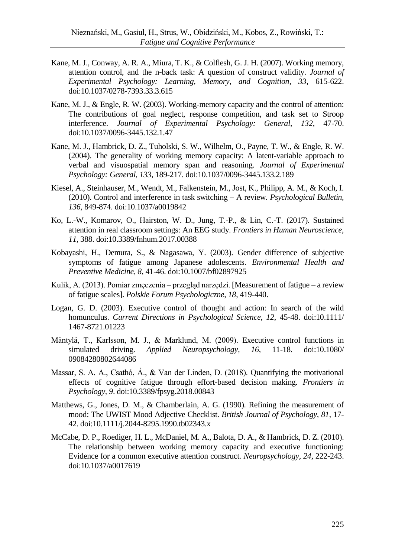- Kane, M. J., Conway, A. R. A., Miura, T. K., & Colflesh, G. J. H. (2007). Working memory, attention control, and the n-back task: A question of construct validity. *Journal of Experimental Psychology: Learning, Memory, and Cognition, 33*, 615-622. doi:10.1037/0278-7393.33.3.615
- Kane, M. J., & Engle, R. W. (2003). Working-memory capacity and the control of attention: The contributions of goal neglect, response competition, and task set to Stroop interference. *Journal of Experimental Psychology: General, 132*, 47-70. doi:10.1037/0096-3445.132.1.47
- Kane, M. J., Hambrick, D. Z., Tuholski, S. W., Wilhelm, O., Payne, T. W., & Engle, R. W. (2004). The generality of working memory capacity: A latent-variable approach to verbal and visuospatial memory span and reasoning. *Journal of Experimental Psychology: General, 133*, 189-217. doi:10.1037/0096-3445.133.2.189
- Kiesel, A., Steinhauser, M., Wendt, M., Falkenstein, M., Jost, K., Philipp, A. M., & Koch, I. (2010). Control and interference in task switching – A review. *Psychological Bulletin, 136*, 849-874. doi:10.1037/a0019842
- Ko, L.-W., Komarov, O., Hairston, W. D., Jung, T.-P., & Lin, C.-T. (2017). Sustained attention in real classroom settings: An EEG study. *Frontiers in Human Neuroscience, 11*, 388. doi:10.3389/fnhum.2017.00388
- Kobayashi, H., Demura, S., & Nagasawa, Y. (2003). Gender difference of subjective symptoms of fatigue among Japanese adolescents. *Environmental Health and Preventive Medicine, 8*, 41-46. doi:10.1007/bf02897925
- Kulik, A. (2013). Pomiar zmęczenia przegląd narzędzi. [Measurement of fatigue a review of fatigue scales]. *Polskie Forum Psychologiczne, 18*, 419-440.
- Logan, G. D. (2003). Executive control of thought and action: In search of the wild homunculus. *Current Directions in Psychological Science, 12*, 45-48. doi:10.1111/ 1467-8721.01223
- Mäntylä, T., Karlsson, M. J., & Marklund, M. (2009). Executive control functions in simulated driving. *Applied Neuropsychology, 16*, 11-18. doi:10.1080/ 09084280802644086
- Massar, S. A. A., Csathó, Á., & Van der Linden, D. (2018). Quantifying the motivational effects of cognitive fatigue through effort-based decision making. *Frontiers in Psychology, 9*. doi:10.3389/fpsyg.2018.00843
- Matthews, G., Jones, D. M., & Chamberlain, A. G. (1990). Refining the measurement of mood: The UWIST Mood Adjective Checklist. *British Journal of Psychology, 81*, 17- 42. doi:10.1111/j.2044-8295.1990.tb02343.x
- McCabe, D. P., Roediger, H. L., McDaniel, M. A., Balota, D. A., & Hambrick, D. Z. (2010). The relationship between working memory capacity and executive functioning: Evidence for a common executive attention construct. *Neuropsychology, 24*, 222-243. doi:10.1037/a0017619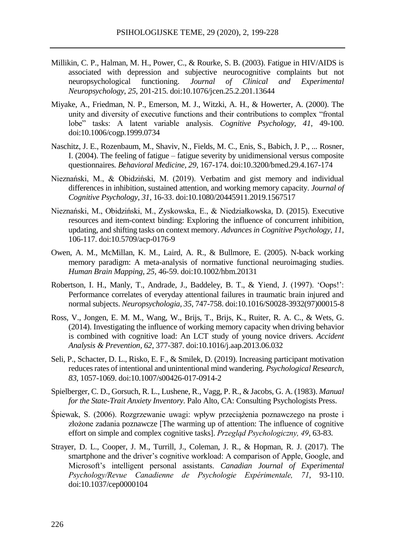- Millikin, C. P., Halman, M. H., Power, C., & Rourke, S. B. (2003). Fatigue in HIV/AIDS is associated with depression and subjective neurocognitive complaints but not neuropsychological functioning. *Journal of Clinical and Experimental Neuropsychology*, *25*, 201-215. doi:10.1076/jcen.25.2.201.13644
- Miyake, A., Friedman, N. P., Emerson, M. J., Witzki, A. H., & Howerter, A. (2000). The unity and diversity of executive functions and their contributions to complex "frontal lobe" tasks: A latent variable analysis. *Cognitive Psychology, 41*, 49-100. doi:10.1006/cogp.1999.0734
- Naschitz, J. E., Rozenbaum, M., Shaviv, N., Fields, M. C., Enis, S., Babich, J. P., ... Rosner, I. (2004). The feeling of fatigue – fatigue severity by unidimensional versus composite questionnaires. *Behavioral Medicine, 29*, 167-174. doi:10.3200/bmed.29.4.167-174
- Nieznański, M., & Obidziński, M. (2019). Verbatim and gist memory and individual differences in inhibition, sustained attention, and working memory capacity. *Journal of Cognitive Psychology, 31*, 16-33. doi:10.1080/20445911.2019.1567517
- Nieznański, M., Obidziński, M., Zyskowska, E., & Niedziałkowska, D. (2015). Executive resources and item-context binding: Exploring the influence of concurrent inhibition, updating, and shifting tasks on context memory. *Advances in Cognitive Psychology, 11*, 106-117. doi:10.5709/acp-0176-9
- Owen, A. M., McMillan, K. M., Laird, A. R., & Bullmore, E. (2005). N-back working memory paradigm: A meta-analysis of normative functional neuroimaging studies. *Human Brain Mapping, 25*, 46-59. doi:10.1002/hbm.20131
- Robertson, I. H., Manly, T., Andrade, J., Baddeley, B. T., & Yiend, J. (1997). 'Oops!': Performance correlates of everyday attentional failures in traumatic brain injured and normal subjects. *Neuropsychologia, 35*, 747-758. doi:10.1016/S0028-3932(97)00015-8
- Ross, V., Jongen, E. M. M., Wang, W., Brijs, T., Brijs, K., Ruiter, R. A. C., & Wets, G. (2014). Investigating the influence of working memory capacity when driving behavior is combined with cognitive load: An LCT study of young novice drivers. *Accident Analysis & Prevention, 62*, 377-387. doi:10.1016/j.aap.2013.06.032
- Seli, P., Schacter, D. L., Risko, E. F., & Smilek, D. (2019). Increasing participant motivation reduces rates of intentional and unintentional mind wandering. *Psychological Research*, *83*, 1057-1069. doi:10.1007/s00426-017-0914-2
- Spielberger, C. D., Gorsuch, R. L., Lushene, R., Vagg, P. R., & Jacobs, G. A. (1983). *Manual for the State-Trait Anxiety Inventory*. Palo Alto, CA: Consulting Psychologists Press.
- Śpiewak, S. (2006). Rozgrzewanie uwagi: wpływ przeciążenia poznawczego na proste i złożone zadania poznawcze [The warming up of attention: The influence of cognitive effort on simple and complex cognitive tasks]. *Przegląd Psychologiczny, 49*, 63-83.
- Strayer, D. L., Cooper, J. M., Turrill, J., Coleman, J. R., & Hopman, R. J. (2017). The smartphone and the driver's cognitive workload: A comparison of Apple, Google, and Microsoft's intelligent personal assistants. *Canadian Journal of Experimental Psychology/Revue Canadienne de Psychologie Expérimentale, 71*, 93-110. doi:10.1037/cep0000104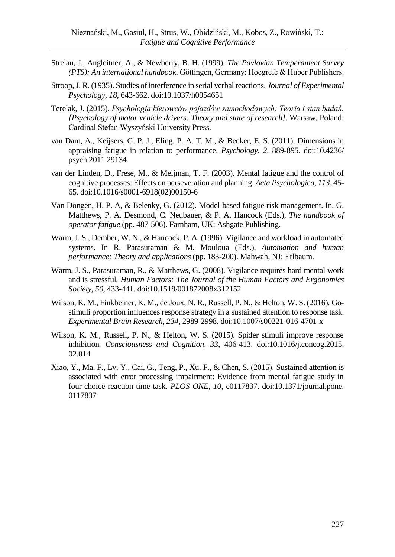- Strelau, J., Angleitner, A., & Newberry, B. H. (1999). *The Pavlovian Temperament Survey (PTS): An international handbook*. Göttingen, Germany: Hoegrefe & Huber Publishers.
- Stroop, J. R. (1935). Studies of interference in serial verbal reactions. *Journal of Experimental Psychology, 18,* 643-662. doi:10.1037/h0054651
- Terelak, J. (2015). *Psychologia kierowców pojazdów samochodowych: Teoria i stan badań. [Psychology of motor vehicle drivers: Theory and state of research]*. Warsaw, Poland: Cardinal Stefan Wyszyński University Press.
- van Dam, A., Keijsers, G. P. J., Eling, P. A. T. M., & Becker, E. S. (2011). Dimensions in appraising fatigue in relation to performance. *Psychology*, *2*, 889-895. doi:10.4236/ psych.2011.29134
- van der Linden, D., Frese, M., & Meijman, T. F. (2003). Mental fatigue and the control of cognitive processes: Effects on perseveration and planning. *Acta Psychologica, 113*, 45- 65. doi:10.1016/s0001-6918(02)00150-6
- Van Dongen, H. P. A, & Belenky, G. (2012). Model-based fatigue risk management. In. G. Matthews, P. A. Desmond, C. Neubauer, & P. A. Hancock (Eds.), *The handbook of operator fatigue* (pp. 487-506). Farnham, UK: Ashgate Publishing.
- Warm, J. S., Dember, W. N., & Hancock, P. A. (1996). Vigilance and workload in automated systems. In R. Parasuraman & M. Mouloua (Eds.), *Automation and human performance: Theory and applications* (pp. 183-200). Mahwah, NJ: Erlbaum.
- Warm, J. S., Parasuraman, R., & Matthews, G. (2008). Vigilance requires hard mental work and is stressful*. Human Factors: The Journal of the Human Factors and Ergonomics Society, 50*, 433-441. doi:10.1518/001872008x312152
- Wilson, K. M., Finkbeiner, K. M., de Joux, N. R., Russell, P. N., & Helton, W. S. (2016). Gostimuli proportion influences response strategy in a sustained attention to response task. *Experimental Brain Research, 234*, 2989-2998. doi:10.1007/s00221-016-4701-x
- Wilson, K. M., Russell, P. N., & Helton, W. S. (2015). Spider stimuli improve response inhibition*. Consciousness and Cognition, 33*, 406-413. doi:10.1016/j.concog.2015. 02.014
- Xiao, Y., Ma, F., Lv, Y., Cai, G., Teng, P., Xu, F., & Chen, S. (2015). Sustained attention is associated with error processing impairment: Evidence from mental fatigue study in four-choice reaction time task. *PLOS ONE, 10*, e0117837. doi:10.1371/journal.pone. 0117837